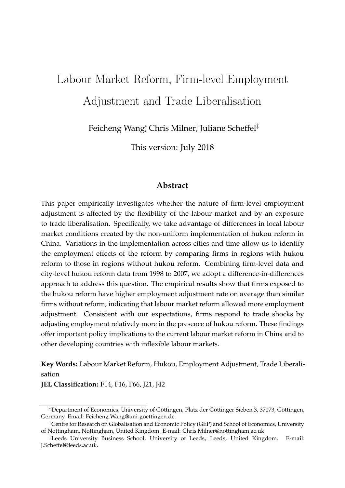# Labour Market Reform, Firm-level Employment Adjustment and Trade Liberalisation

Feicheng Wang; Chris Milner; Juliane Scheffel‡

This version: July 2018

#### **Abstract**

This paper empirically investigates whether the nature of firm-level employment adjustment is affected by the flexibility of the labour market and by an exposure to trade liberalisation. Specifically, we take advantage of differences in local labour market conditions created by the non-uniform implementation of hukou reform in China. Variations in the implementation across cities and time allow us to identify the employment effects of the reform by comparing firms in regions with hukou reform to those in regions without hukou reform. Combining firm-level data and city-level hukou reform data from 1998 to 2007, we adopt a difference-in-differences approach to address this question. The empirical results show that firms exposed to the hukou reform have higher employment adjustment rate on average than similar firms without reform, indicating that labour market reform allowed more employment adjustment. Consistent with our expectations, firms respond to trade shocks by adjusting employment relatively more in the presence of hukou reform. These findings offer important policy implications to the current labour market reform in China and to other developing countries with inflexible labour markets.

**Key Words:** Labour Market Reform, Hukou, Employment Adjustment, Trade Liberalisation

**JEL Classification:** F14, F16, F66, J21, J42

<sup>\*</sup>Department of Economics, University of Göttingen, Platz der Göttinger Sieben 3, 37073, Göttingen, Germany. Email: Feicheng.Wang@uni-goettingen.de.

<sup>†</sup>Centre for Research on Globalisation and Economic Policy (GEP) and School of Economics, University of Nottingham, Nottingham, United Kingdom. E-mail: Chris.Milner@nottingham.ac.uk.

<sup>‡</sup>Leeds University Business School, University of Leeds, Leeds, United Kingdom. E-mail: J.Scheffel@leeds.ac.uk.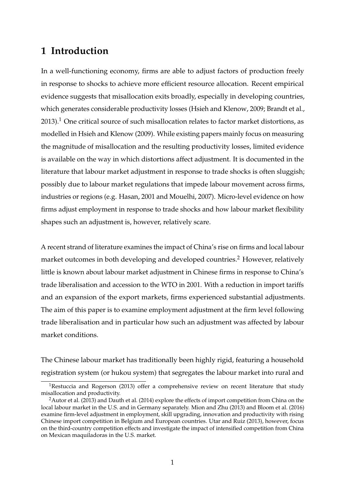# **1 Introduction**

In a well-functioning economy, firms are able to adjust factors of production freely in response to shocks to achieve more efficient resource allocation. Recent empirical evidence suggests that misallocation exits broadly, especially in developing countries, which generates considerable productivity losses (Hsieh and Klenow, 2009; Brandt et al.,  $2013$ .<sup>1</sup> One critical source of such misallocation relates to factor market distortions, as modelled in Hsieh and Klenow (2009). While existing papers mainly focus on measuring the magnitude of misallocation and the resulting productivity losses, limited evidence is available on the way in which distortions affect adjustment. It is documented in the literature that labour market adjustment in response to trade shocks is often sluggish; possibly due to labour market regulations that impede labour movement across firms, industries or regions (e.g. Hasan, 2001 and Mouelhi, 2007). Micro-level evidence on how firms adjust employment in response to trade shocks and how labour market flexibility shapes such an adjustment is, however, relatively scare.

A recent strand of literature examines the impact of China's rise on firms and local labour market outcomes in both developing and developed countries.<sup>2</sup> However, relatively little is known about labour market adjustment in Chinese firms in response to China's trade liberalisation and accession to the WTO in 2001. With a reduction in import tariffs and an expansion of the export markets, firms experienced substantial adjustments. The aim of this paper is to examine employment adjustment at the firm level following trade liberalisation and in particular how such an adjustment was affected by labour market conditions.

The Chinese labour market has traditionally been highly rigid, featuring a household registration system (or hukou system) that segregates the labour market into rural and

 $1$ Restuccia and Rogerson (2013) offer a comprehensive review on recent literature that study misallocation and productivity.

<sup>&</sup>lt;sup>2</sup>Autor et al. (2013) and Dauth et al. (2014) explore the effects of import competition from China on the local labour market in the U.S. and in Germany separately. Mion and Zhu (2013) and Bloom et al. (2016) examine firm-level adjustment in employment, skill upgrading, innovation and productivity with rising Chinese import competition in Belgium and European countries. Utar and Ruiz (2013), however, focus on the third-country competition effects and investigate the impact of intensified competition from China on Mexican maquiladoras in the U.S. market.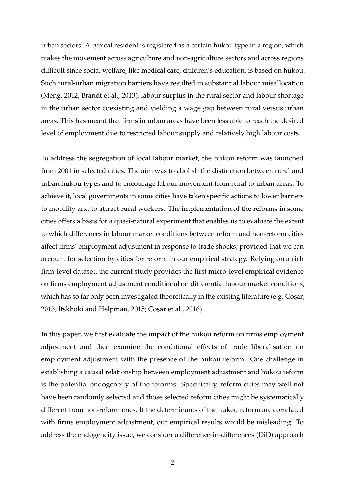urban sectors. A typical resident is registered as a certain hukou type in a region, which makes the movement across agriculture and non-agriculture sectors and across regions difficult since social welfare, like medical care, children's education, is based on hukou. Such rural-urban migration barriers have resulted in substantial labour misallocation (Meng, 2012; Brandt et al., 2013); labour surplus in the rural sector and labour shortage in the urban sector coexisting and yielding a wage gap between rural versus urban areas. This has meant that firms in urban areas have been less able to reach the desired level of employment due to restricted labour supply and relatively high labour costs.

To address the segregation of local labour market, the hukou reform was launched from 2001 in selected cities. The aim was to abolish the distinction between rural and urban hukou types and to encourage labour movement from rural to urban areas. To achieve it, local governments in some cities have taken specific actions to lower barriers to mobility and to attract rural workers. The implementation of the reforms in some cities offers a basis for a quasi-natural experiment that enables us to evaluate the extent to which differences in labour market conditions between reform and non-reform cities affect firms' employment adjustment in response to trade shocks, provided that we can account for selection by cities for reform in our empirical strategy. Relying on a rich firm-level dataset, the current study provides the first micro-level empirical evidence on firms employment adjustment conditional on differential labour market conditions, which has so far only been investigated theoretically in the existing literature (e.g. Cosar, 2013; Itskhoki and Helpman, 2015; Coşar et al., 2016).

In this paper, we first evaluate the impact of the hukou reform on firms employment adjustment and then examine the conditional effects of trade liberalisation on employment adjustment with the presence of the hukou reform. One challenge in establishing a causal relationship between employment adjustment and hukou reform is the potential endogeneity of the reforms. Specifically, reform cities may well not have been randomly selected and those selected reform cities might be systematically different from non-reform ones. If the determinants of the hukou reform are correlated with firms employment adjustment, our empirical results would be misleading. To address the endogeneity issue, we consider a difference-in-differences (DiD) approach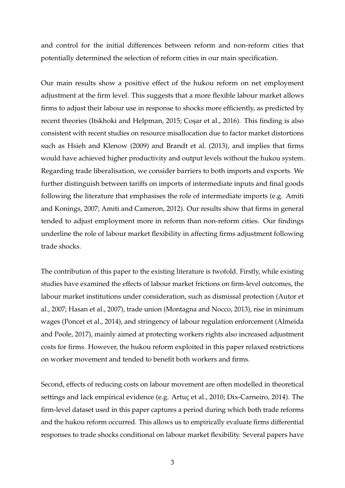and control for the initial differences between reform and non-reform cities that potentially determined the selection of reform cities in our main specification.

Our main results show a positive effect of the hukou reform on net employment adjustment at the firm level. This suggests that a more flexible labour market allows firms to adjust their labour use in response to shocks more efficiently, as predicted by recent theories (Itskhoki and Helpman, 2015; Cosar et al., 2016). This finding is also consistent with recent studies on resource misallocation due to factor market distortions such as Hsieh and Klenow (2009) and Brandt et al. (2013), and implies that firms would have achieved higher productivity and output levels without the hukou system. Regarding trade liberalisation, we consider barriers to both imports and exports. We further distinguish between tariffs on imports of intermediate inputs and final goods following the literature that emphasises the role of intermediate imports (e.g. Amiti and Konings, 2007; Amiti and Cameron, 2012). Our results show that firms in general tended to adjust employment more in reform than non-reform cities. Our findings underline the role of labour market flexibility in affecting firms adjustment following trade shocks.

The contribution of this paper to the existing literature is twofold. Firstly, while existing studies have examined the effects of labour market frictions on firm-level outcomes, the labour market institutions under consideration, such as dismissal protection (Autor et al., 2007; Hasan et al., 2007), trade union (Montagna and Nocco, 2013), rise in minimum wages (Poncet et al., 2014), and stringency of labour regulation enforcement (Almeida and Poole, 2017), mainly aimed at protecting workers rights also increased adjustment costs for firms. However, the hukou reform exploited in this paper relaxed restrictions on worker movement and tended to benefit both workers and firms.

Second, effects of reducing costs on labour movement are often modelled in theoretical settings and lack empirical evidence (e.g. Artuç et al., 2010; Dix-Carneiro, 2014). The firm-level dataset used in this paper captures a period during which both trade reforms and the hukou reform occurred. This allows us to empirically evaluate firms differential responses to trade shocks conditional on labour market flexibility. Several papers have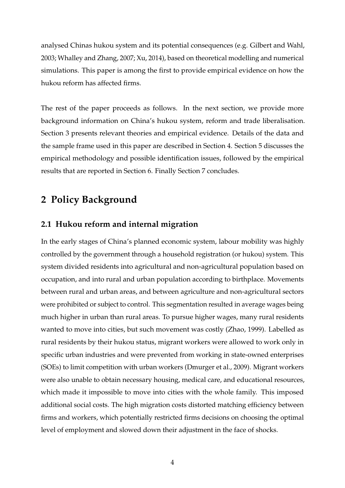analysed Chinas hukou system and its potential consequences (e.g. Gilbert and Wahl, 2003; Whalley and Zhang, 2007; Xu, 2014), based on theoretical modelling and numerical simulations. This paper is among the first to provide empirical evidence on how the hukou reform has affected firms.

The rest of the paper proceeds as follows. In the next section, we provide more background information on China's hukou system, reform and trade liberalisation. Section 3 presents relevant theories and empirical evidence. Details of the data and the sample frame used in this paper are described in Section 4. Section 5 discusses the empirical methodology and possible identification issues, followed by the empirical results that are reported in Section 6. Finally Section 7 concludes.

# **2 Policy Background**

### **2.1 Hukou reform and internal migration**

In the early stages of China's planned economic system, labour mobility was highly controlled by the government through a household registration (or hukou) system. This system divided residents into agricultural and non-agricultural population based on occupation, and into rural and urban population according to birthplace. Movements between rural and urban areas, and between agriculture and non-agricultural sectors were prohibited or subject to control. This segmentation resulted in average wages being much higher in urban than rural areas. To pursue higher wages, many rural residents wanted to move into cities, but such movement was costly (Zhao, 1999). Labelled as rural residents by their hukou status, migrant workers were allowed to work only in specific urban industries and were prevented from working in state-owned enterprises (SOEs) to limit competition with urban workers (Dmurger et al., 2009). Migrant workers were also unable to obtain necessary housing, medical care, and educational resources, which made it impossible to move into cities with the whole family. This imposed additional social costs. The high migration costs distorted matching efficiency between firms and workers, which potentially restricted firms decisions on choosing the optimal level of employment and slowed down their adjustment in the face of shocks.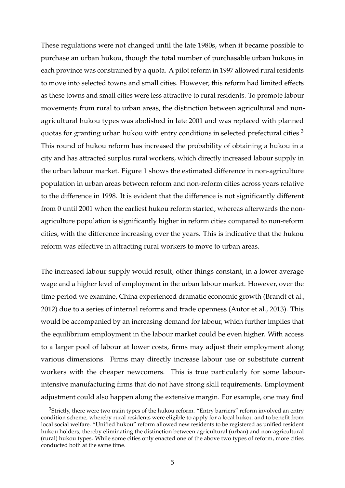These regulations were not changed until the late 1980s, when it became possible to purchase an urban hukou, though the total number of purchasable urban hukous in each province was constrained by a quota. A pilot reform in 1997 allowed rural residents to move into selected towns and small cities. However, this reform had limited effects as these towns and small cities were less attractive to rural residents. To promote labour movements from rural to urban areas, the distinction between agricultural and nonagricultural hukou types was abolished in late 2001 and was replaced with planned quotas for granting urban hukou with entry conditions in selected prefectural cities.<sup>3</sup> This round of hukou reform has increased the probability of obtaining a hukou in a city and has attracted surplus rural workers, which directly increased labour supply in the urban labour market. Figure 1 shows the estimated difference in non-agriculture population in urban areas between reform and non-reform cities across years relative to the difference in 1998. It is evident that the difference is not significantly different from 0 until 2001 when the earliest hukou reform started, whereas afterwards the nonagriculture population is significantly higher in reform cities compared to non-reform cities, with the difference increasing over the years. This is indicative that the hukou reform was effective in attracting rural workers to move to urban areas.

The increased labour supply would result, other things constant, in a lower average wage and a higher level of employment in the urban labour market. However, over the time period we examine, China experienced dramatic economic growth (Brandt et al., 2012) due to a series of internal reforms and trade openness (Autor et al., 2013). This would be accompanied by an increasing demand for labour, which further implies that the equilibrium employment in the labour market could be even higher. With access to a larger pool of labour at lower costs, firms may adjust their employment along various dimensions. Firms may directly increase labour use or substitute current workers with the cheaper newcomers. This is true particularly for some labourintensive manufacturing firms that do not have strong skill requirements. Employment adjustment could also happen along the extensive margin. For example, one may find

 $3$ Strictly, there were two main types of the hukou reform. "Entry barriers" reform involved an entry condition scheme, whereby rural residents were eligible to apply for a local hukou and to benefit from local social welfare. "Unified hukou" reform allowed new residents to be registered as unified resident hukou holders, thereby eliminating the distinction between agricultural (urban) and non-agricultural (rural) hukou types. While some cities only enacted one of the above two types of reform, more cities conducted both at the same time.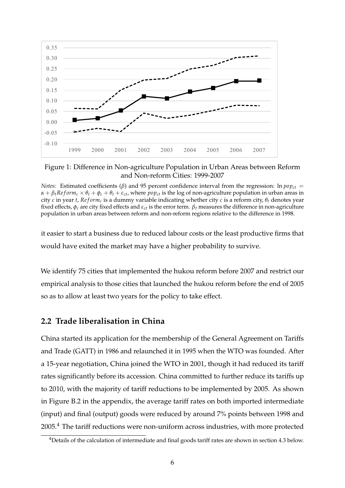

Figure 1: Difference in Non-agriculture Population in Urban Areas between Reform and Non-reform Cities: 1999-2007

it easier to start a business due to reduced labour costs or the least productive firms that would have exited the market may have a higher probability to survive.

We identify 75 cities that implemented the hukou reform before 2007 and restrict our empirical analysis to those cities that launched the hukou reform before the end of 2005 so as to allow at least two years for the policy to take effect.

### **2.2 Trade liberalisation in China**

China started its application for the membership of the General Agreement on Tariffs and Trade (GATT) in 1986 and relaunched it in 1995 when the WTO was founded. After a 15-year negotiation, China joined the WTO in 2001, though it had reduced its tariff rates significantly before its accession. China committed to further reduce its tariffs up to 2010, with the majority of tariff reductions to be implemented by 2005. As shown in Figure B.2 in the appendix, the average tariff rates on both imported intermediate (input) and final (output) goods were reduced by around 7% points between 1998 and 2005.<sup>4</sup> The tariff reductions were non-uniform across industries, with more protected

*Notes:* Estimated coefficients ( $\beta$ ) and 95 percent confidence interval from the regression: ln  $pop_{ct}$  =  $\alpha + \beta_t Reform_c \times \theta_t + \phi_c + \theta_t + \varepsilon_{ct}$ , where *pop<sub>ct</sub>* is the log of non-agriculture population in urban areas in city *c* in year *t*,  $Reform_c$  is a dummy variable indicating whether city *c* is a reform city,  $\theta_t$  denotes year fixed effects,  $\phi_c$  are city fixed effects and  $\varepsilon_{ct}$  is the error term.  $\beta_t$  measures the difference in non-agriculture population in urban areas between reform and non-reform regions relative to the difference in 1998.

<sup>&</sup>lt;sup>4</sup>Details of the calculation of intermediate and final goods tariff rates are shown in section 4.3 below.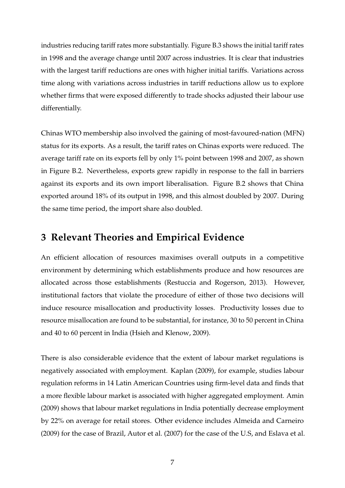industries reducing tariff rates more substantially. Figure B.3 shows the initial tariff rates in 1998 and the average change until 2007 across industries. It is clear that industries with the largest tariff reductions are ones with higher initial tariffs. Variations across time along with variations across industries in tariff reductions allow us to explore whether firms that were exposed differently to trade shocks adjusted their labour use differentially.

Chinas WTO membership also involved the gaining of most-favoured-nation (MFN) status for its exports. As a result, the tariff rates on Chinas exports were reduced. The average tariff rate on its exports fell by only 1% point between 1998 and 2007, as shown in Figure B.2. Nevertheless, exports grew rapidly in response to the fall in barriers against its exports and its own import liberalisation. Figure B.2 shows that China exported around 18% of its output in 1998, and this almost doubled by 2007. During the same time period, the import share also doubled.

## **3 Relevant Theories and Empirical Evidence**

An efficient allocation of resources maximises overall outputs in a competitive environment by determining which establishments produce and how resources are allocated across those establishments (Restuccia and Rogerson, 2013). However, institutional factors that violate the procedure of either of those two decisions will induce resource misallocation and productivity losses. Productivity losses due to resource misallocation are found to be substantial, for instance, 30 to 50 percent in China and 40 to 60 percent in India (Hsieh and Klenow, 2009).

There is also considerable evidence that the extent of labour market regulations is negatively associated with employment. Kaplan (2009), for example, studies labour regulation reforms in 14 Latin American Countries using firm-level data and finds that a more flexible labour market is associated with higher aggregated employment. Amin (2009) shows that labour market regulations in India potentially decrease employment by 22% on average for retail stores. Other evidence includes Almeida and Carneiro (2009) for the case of Brazil, Autor et al. (2007) for the case of the U.S, and Eslava et al.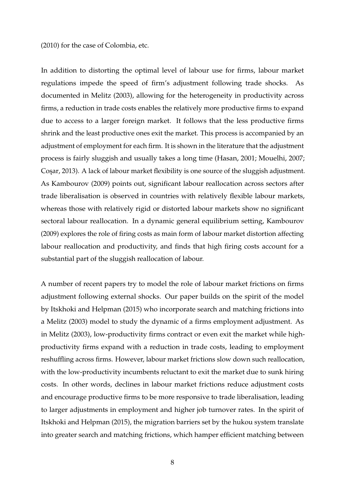(2010) for the case of Colombia, etc.

In addition to distorting the optimal level of labour use for firms, labour market regulations impede the speed of firm's adjustment following trade shocks. As documented in Melitz (2003), allowing for the heterogeneity in productivity across firms, a reduction in trade costs enables the relatively more productive firms to expand due to access to a larger foreign market. It follows that the less productive firms shrink and the least productive ones exit the market. This process is accompanied by an adjustment of employment for each firm. It is shown in the literature that the adjustment process is fairly sluggish and usually takes a long time (Hasan, 2001; Mouelhi, 2007; Cosar, 2013). A lack of labour market flexibility is one source of the sluggish adjustment. As Kambourov (2009) points out, significant labour reallocation across sectors after trade liberalisation is observed in countries with relatively flexible labour markets, whereas those with relatively rigid or distorted labour markets show no significant sectoral labour reallocation. In a dynamic general equilibrium setting, Kambourov (2009) explores the role of firing costs as main form of labour market distortion affecting labour reallocation and productivity, and finds that high firing costs account for a substantial part of the sluggish reallocation of labour.

A number of recent papers try to model the role of labour market frictions on firms adjustment following external shocks. Our paper builds on the spirit of the model by Itskhoki and Helpman (2015) who incorporate search and matching frictions into a Melitz (2003) model to study the dynamic of a firms employment adjustment. As in Melitz (2003), low-productivity firms contract or even exit the market while highproductivity firms expand with a reduction in trade costs, leading to employment reshuffling across firms. However, labour market frictions slow down such reallocation, with the low-productivity incumbents reluctant to exit the market due to sunk hiring costs. In other words, declines in labour market frictions reduce adjustment costs and encourage productive firms to be more responsive to trade liberalisation, leading to larger adjustments in employment and higher job turnover rates. In the spirit of Itskhoki and Helpman (2015), the migration barriers set by the hukou system translate into greater search and matching frictions, which hamper efficient matching between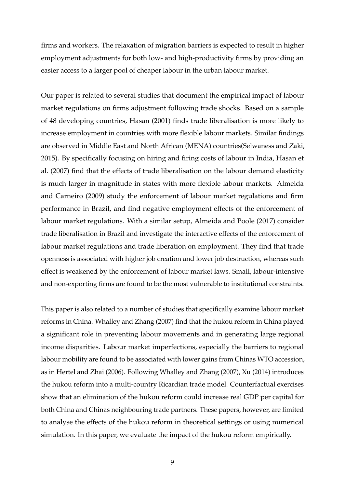firms and workers. The relaxation of migration barriers is expected to result in higher employment adjustments for both low- and high-productivity firms by providing an easier access to a larger pool of cheaper labour in the urban labour market.

Our paper is related to several studies that document the empirical impact of labour market regulations on firms adjustment following trade shocks. Based on a sample of 48 developing countries, Hasan (2001) finds trade liberalisation is more likely to increase employment in countries with more flexible labour markets. Similar findings are observed in Middle East and North African (MENA) countries(Selwaness and Zaki, 2015). By specifically focusing on hiring and firing costs of labour in India, Hasan et al. (2007) find that the effects of trade liberalisation on the labour demand elasticity is much larger in magnitude in states with more flexible labour markets. Almeida and Carneiro (2009) study the enforcement of labour market regulations and firm performance in Brazil, and find negative employment effects of the enforcement of labour market regulations. With a similar setup, Almeida and Poole (2017) consider trade liberalisation in Brazil and investigate the interactive effects of the enforcement of labour market regulations and trade liberation on employment. They find that trade openness is associated with higher job creation and lower job destruction, whereas such effect is weakened by the enforcement of labour market laws. Small, labour-intensive and non-exporting firms are found to be the most vulnerable to institutional constraints.

This paper is also related to a number of studies that specifically examine labour market reforms in China. Whalley and Zhang (2007) find that the hukou reform in China played a significant role in preventing labour movements and in generating large regional income disparities. Labour market imperfections, especially the barriers to regional labour mobility are found to be associated with lower gains from Chinas WTO accession, as in Hertel and Zhai (2006). Following Whalley and Zhang (2007), Xu (2014) introduces the hukou reform into a multi-country Ricardian trade model. Counterfactual exercises show that an elimination of the hukou reform could increase real GDP per capital for both China and Chinas neighbouring trade partners. These papers, however, are limited to analyse the effects of the hukou reform in theoretical settings or using numerical simulation. In this paper, we evaluate the impact of the hukou reform empirically.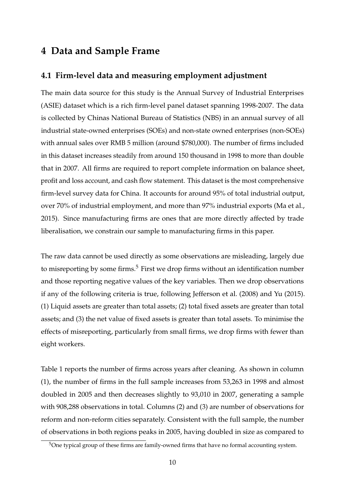## **4 Data and Sample Frame**

## **4.1 Firm-level data and measuring employment adjustment**

The main data source for this study is the Annual Survey of Industrial Enterprises (ASIE) dataset which is a rich firm-level panel dataset spanning 1998-2007. The data is collected by Chinas National Bureau of Statistics (NBS) in an annual survey of all industrial state-owned enterprises (SOEs) and non-state owned enterprises (non-SOEs) with annual sales over RMB 5 million (around \$780,000). The number of firms included in this dataset increases steadily from around 150 thousand in 1998 to more than double that in 2007. All firms are required to report complete information on balance sheet, profit and loss account, and cash flow statement. This dataset is the most comprehensive firm-level survey data for China. It accounts for around 95% of total industrial output, over 70% of industrial employment, and more than 97% industrial exports (Ma et al., 2015). Since manufacturing firms are ones that are more directly affected by trade liberalisation, we constrain our sample to manufacturing firms in this paper.

The raw data cannot be used directly as some observations are misleading, largely due to misreporting by some firms.<sup>5</sup> First we drop firms without an identification number and those reporting negative values of the key variables. Then we drop observations if any of the following criteria is true, following Jefferson et al. (2008) and Yu (2015). (1) Liquid assets are greater than total assets; (2) total fixed assets are greater than total assets; and (3) the net value of fixed assets is greater than total assets. To minimise the effects of misreporting, particularly from small firms, we drop firms with fewer than eight workers.

Table 1 reports the number of firms across years after cleaning. As shown in column (1), the number of firms in the full sample increases from 53,263 in 1998 and almost doubled in 2005 and then decreases slightly to 93,010 in 2007, generating a sample with 908,288 observations in total. Columns (2) and (3) are number of observations for reform and non-reform cities separately. Consistent with the full sample, the number of observations in both regions peaks in 2005, having doubled in size as compared to

<sup>&</sup>lt;sup>5</sup>One typical group of these firms are family-owned firms that have no formal accounting system.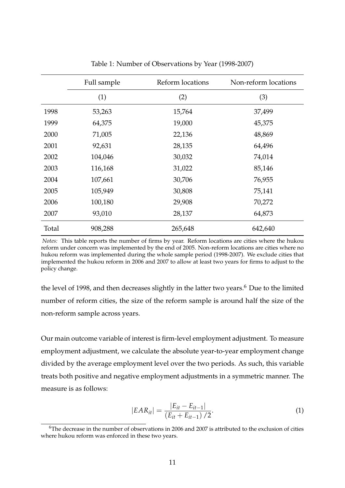|       | Full sample | Reform locations | Non-reform locations |
|-------|-------------|------------------|----------------------|
|       | (1)         | (2)              | (3)                  |
| 1998  | 53,263      | 15,764           | 37,499               |
| 1999  | 64,375      | 19,000           | 45,375               |
| 2000  | 71,005      | 22,136           | 48,869               |
| 2001  | 92,631      | 28,135           | 64,496               |
| 2002  | 104,046     | 30,032           | 74,014               |
| 2003  | 116,168     | 31,022           | 85,146               |
| 2004  | 107,661     | 30,706           | 76,955               |
| 2005  | 105,949     | 30,808           | 75,141               |
| 2006  | 100,180     | 29,908           | 70,272               |
| 2007  | 93,010      | 28,137           | 64,873               |
| Total | 908,288     | 265,648          | 642,640              |

Table 1: Number of Observations by Year (1998-2007)

the level of 1998, and then decreases slightly in the latter two years.<sup>6</sup> Due to the limited number of reform cities, the size of the reform sample is around half the size of the non-reform sample across years.

Our main outcome variable of interest is firm-level employment adjustment. To measure employment adjustment, we calculate the absolute year-to-year employment change divided by the average employment level over the two periods. As such, this variable treats both positive and negative employment adjustments in a symmetric manner. The measure is as follows:

$$
|EAR_{it}| = \frac{|E_{it} - E_{it-1}|}{(E_{it} + E_{it-1})/2}.
$$
\n(1)

*Notes:* This table reports the number of firms by year. Reform locations are cities where the hukou reform under concern was implemented by the end of 2005. Non-reform locations are cities where no hukou reform was implemented during the whole sample period (1998-2007). We exclude cities that implemented the hukou reform in 2006 and 2007 to allow at least two years for firms to adjust to the policy change.

 $6$ The decrease in the number of observations in 2006 and 2007 is attributed to the exclusion of cities where hukou reform was enforced in these two years.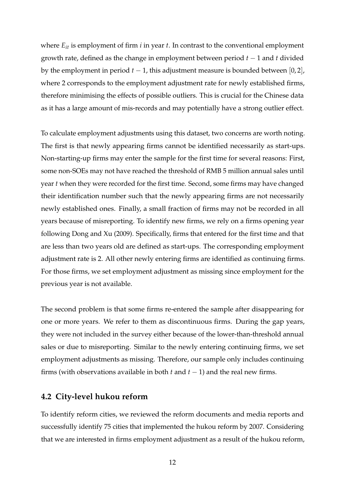where  $E_{it}$  is employment of firm *i* in year *t*. In contrast to the conventional employment growth rate, defined as the change in employment between period *t* − 1 and *t* divided by the employment in period  $t - 1$ , this adjustment measure is bounded between [0,2], where 2 corresponds to the employment adjustment rate for newly established firms, therefore minimising the effects of possible outliers. This is crucial for the Chinese data as it has a large amount of mis-records and may potentially have a strong outlier effect.

To calculate employment adjustments using this dataset, two concerns are worth noting. The first is that newly appearing firms cannot be identified necessarily as start-ups. Non-starting-up firms may enter the sample for the first time for several reasons: First, some non-SOEs may not have reached the threshold of RMB 5 million annual sales until year *t* when they were recorded for the first time. Second, some firms may have changed their identification number such that the newly appearing firms are not necessarily newly established ones. Finally, a small fraction of firms may not be recorded in all years because of misreporting. To identify new firms, we rely on a firms opening year following Dong and Xu (2009). Specifically, firms that entered for the first time and that are less than two years old are defined as start-ups. The corresponding employment adjustment rate is 2. All other newly entering firms are identified as continuing firms. For those firms, we set employment adjustment as missing since employment for the previous year is not available.

The second problem is that some firms re-entered the sample after disappearing for one or more years. We refer to them as discontinuous firms. During the gap years, they were not included in the survey either because of the lower-than-threshold annual sales or due to misreporting. Similar to the newly entering continuing firms, we set employment adjustments as missing. Therefore, our sample only includes continuing firms (with observations available in both  $t$  and  $t - 1$ ) and the real new firms.

## **4.2 City-level hukou reform**

To identify reform cities, we reviewed the reform documents and media reports and successfully identify 75 cities that implemented the hukou reform by 2007. Considering that we are interested in firms employment adjustment as a result of the hukou reform,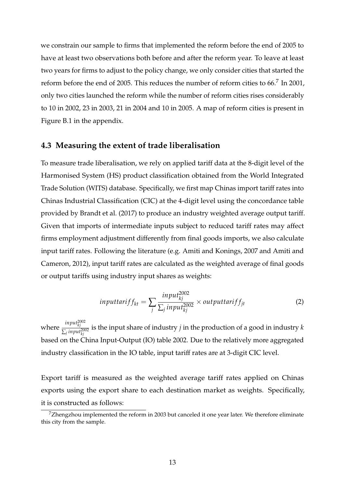we constrain our sample to firms that implemented the reform before the end of 2005 to have at least two observations both before and after the reform year. To leave at least two years for firms to adjust to the policy change, we only consider cities that started the reform before the end of 2005. This reduces the number of reform cities to  $66$ <sup>7</sup>. In 2001, only two cities launched the reform while the number of reform cities rises considerably to 10 in 2002, 23 in 2003, 21 in 2004 and 10 in 2005. A map of reform cities is present in Figure B.1 in the appendix.

#### **4.3 Measuring the extent of trade liberalisation**

To measure trade liberalisation, we rely on applied tariff data at the 8-digit level of the Harmonised System (HS) product classification obtained from the World Integrated Trade Solution (WITS) database. Specifically, we first map Chinas import tariff rates into Chinas Industrial Classification (CIC) at the 4-digit level using the concordance table provided by Brandt et al. (2017) to produce an industry weighted average output tariff. Given that imports of intermediate inputs subject to reduced tariff rates may affect firms employment adjustment differently from final goods imports, we also calculate input tariff rates. Following the literature (e.g. Amiti and Konings, 2007 and Amiti and Cameron, 2012), input tariff rates are calculated as the weighted average of final goods or output tariffs using industry input shares as weights:

$$
inputtar if f_{kt} = \sum_{j} \frac{input_{kj}^{2002}}{\sum_{j} input_{kj}^{2002}} \times outputtar if f_{jt}
$$
 (2)

where *input*<sup>2002</sup> *kj*  $\frac{1}{\sum_j^j}$  *input* $\frac{2002}{k_j}$  is the input share of industry *j* in the production of a good in industry *k* based on the China Input-Output (IO) table 2002. Due to the relatively more aggregated industry classification in the IO table, input tariff rates are at 3-digit CIC level.

Export tariff is measured as the weighted average tariff rates applied on Chinas exports using the export share to each destination market as weights. Specifically, it is constructed as follows:

 $7$ Zhengzhou implemented the reform in 2003 but canceled it one year later. We therefore eliminate this city from the sample.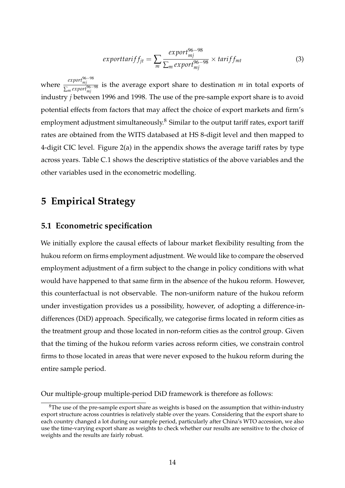$$
exporttar if f_{jt} = \sum_{m} \frac{export_{mj}^{96-98}}{\sum_{m} export_{mj}^{96-98}} \times tariff_{mt}
$$
 (3)

where *export<sup>96−98</sup>* is the average export share to destination *m* in total exports of  $\sum_{m}^{export_{mj}^{96-98}}$  is the average export share to destination *m* in total exports of industry *j* between 1996 and 1998. The use of the pre-sample export share is to avoid potential effects from factors that may affect the choice of export markets and firm's employment adjustment simultaneously. $8$  Similar to the output tariff rates, export tariff rates are obtained from the WITS databased at HS 8-digit level and then mapped to 4-digit CIC level. Figure 2(a) in the appendix shows the average tariff rates by type across years. Table C.1 shows the descriptive statistics of the above variables and the other variables used in the econometric modelling.

## **5 Empirical Strategy**

#### **5.1 Econometric specification**

We initially explore the causal effects of labour market flexibility resulting from the hukou reform on firms employment adjustment. We would like to compare the observed employment adjustment of a firm subject to the change in policy conditions with what would have happened to that same firm in the absence of the hukou reform. However, this counterfactual is not observable. The non-uniform nature of the hukou reform under investigation provides us a possibility, however, of adopting a difference-indifferences (DiD) approach. Specifically, we categorise firms located in reform cities as the treatment group and those located in non-reform cities as the control group. Given that the timing of the hukou reform varies across reform cities, we constrain control firms to those located in areas that were never exposed to the hukou reform during the entire sample period.

Our multiple-group multiple-period DiD framework is therefore as follows:

 ${}^{8}$ The use of the pre-sample export share as weights is based on the assumption that within-industry export structure across countries is relatively stable over the years. Considering that the export share to each country changed a lot during our sample period, particularly after China's WTO accession, we also use the time-varying export share as weights to check whether our results are sensitive to the choice of weights and the results are fairly robust.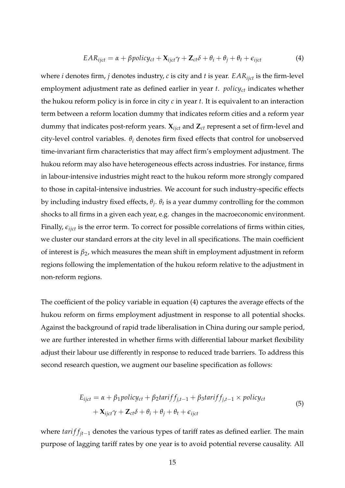$$
EAR_{ijct} = \alpha + \beta policy_{ct} + \mathbf{X}_{ijct} \gamma + \mathbf{Z}_{ct} \delta + \theta_i + \theta_j + \theta_t + \epsilon_{ijct}
$$
(4)

where *i* denotes firm, *j* denotes industry, *c* is city and *t* is year. *EARijct* is the firm-level employment adjustment rate as defined earlier in year *t*. *policyct* indicates whether the hukou reform policy is in force in city *c* in year *t*. It is equivalent to an interaction term between a reform location dummy that indicates reform cities and a reform year dummy that indicates post-reform years.  $\mathbf{X}_{ijct}$  and  $\mathbf{Z}_{ct}$  represent a set of firm-level and city-level control variables.  $\theta_i$  denotes firm fixed effects that control for unobserved time-invariant firm characteristics that may affect firm's employment adjustment. The hukou reform may also have heterogeneous effects across industries. For instance, firms in labour-intensive industries might react to the hukou reform more strongly compared to those in capital-intensive industries. We account for such industry-specific effects by including industry fixed effects, *θ<sup>j</sup>* . *θ<sup>t</sup>* is a year dummy controlling for the common shocks to all firms in a given each year, e.g. changes in the macroeconomic environment. Finally,  $\epsilon_{i\text{ict}}$  is the error term. To correct for possible correlations of firms within cities, we cluster our standard errors at the city level in all specifications. The main coefficient of interest is *β*2, which measures the mean shift in employment adjustment in reform regions following the implementation of the hukou reform relative to the adjustment in non-reform regions.

The coefficient of the policy variable in equation (4) captures the average effects of the hukou reform on firms employment adjustment in response to all potential shocks. Against the background of rapid trade liberalisation in China during our sample period, we are further interested in whether firms with differential labour market flexibility adjust their labour use differently in response to reduced trade barriers. To address this second research question, we augment our baseline specification as follows:

$$
E_{ijct} = \alpha + \beta_1 policy_{ct} + \beta_2 tariff_{j,t-1} + \beta_3 tariff_{j,t-1} \times policy_{ct}
$$
  
+ 
$$
\mathbf{X}_{ijct} \gamma + \mathbf{Z}_{ct} \delta + \theta_i + \theta_j + \theta_t + \epsilon_{ijct}
$$
 (5)

where *tarif f<sub>it−1</sub>* denotes the various types of tariff rates as defined earlier. The main purpose of lagging tariff rates by one year is to avoid potential reverse causality. All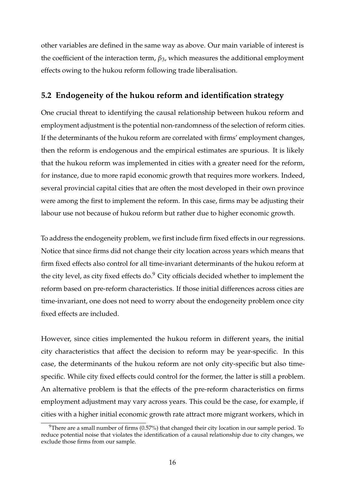other variables are defined in the same way as above. Our main variable of interest is the coefficient of the interaction term, *β*3, which measures the additional employment effects owing to the hukou reform following trade liberalisation.

## **5.2 Endogeneity of the hukou reform and identification strategy**

One crucial threat to identifying the causal relationship between hukou reform and employment adjustment is the potential non-randomness of the selection of reform cities. If the determinants of the hukou reform are correlated with firms' employment changes, then the reform is endogenous and the empirical estimates are spurious. It is likely that the hukou reform was implemented in cities with a greater need for the reform, for instance, due to more rapid economic growth that requires more workers. Indeed, several provincial capital cities that are often the most developed in their own province were among the first to implement the reform. In this case, firms may be adjusting their labour use not because of hukou reform but rather due to higher economic growth.

To address the endogeneity problem, we first include firm fixed effects in our regressions. Notice that since firms did not change their city location across years which means that firm fixed effects also control for all time-invariant determinants of the hukou reform at the city level, as city fixed effects do. $9$  City officials decided whether to implement the reform based on pre-reform characteristics. If those initial differences across cities are time-invariant, one does not need to worry about the endogeneity problem once city fixed effects are included.

However, since cities implemented the hukou reform in different years, the initial city characteristics that affect the decision to reform may be year-specific. In this case, the determinants of the hukou reform are not only city-specific but also timespecific. While city fixed effects could control for the former, the latter is still a problem. An alternative problem is that the effects of the pre-reform characteristics on firms employment adjustment may vary across years. This could be the case, for example, if cities with a higher initial economic growth rate attract more migrant workers, which in

 $9$ There are a small number of firms (0.57%) that changed their city location in our sample period. To reduce potential noise that violates the identification of a causal relationship due to city changes, we exclude those firms from our sample.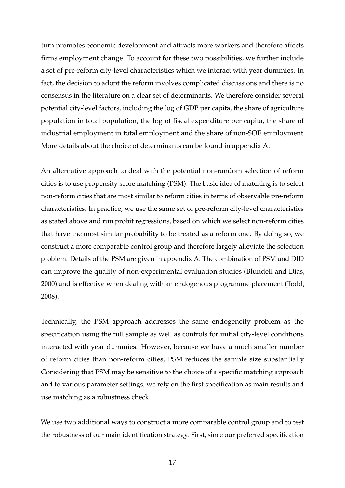turn promotes economic development and attracts more workers and therefore affects firms employment change. To account for these two possibilities, we further include a set of pre-reform city-level characteristics which we interact with year dummies. In fact, the decision to adopt the reform involves complicated discussions and there is no consensus in the literature on a clear set of determinants. We therefore consider several potential city-level factors, including the log of GDP per capita, the share of agriculture population in total population, the log of fiscal expenditure per capita, the share of industrial employment in total employment and the share of non-SOE employment. More details about the choice of determinants can be found in appendix A.

An alternative approach to deal with the potential non-random selection of reform cities is to use propensity score matching (PSM). The basic idea of matching is to select non-reform cities that are most similar to reform cities in terms of observable pre-reform characteristics. In practice, we use the same set of pre-reform city-level characteristics as stated above and run probit regressions, based on which we select non-reform cities that have the most similar probability to be treated as a reform one. By doing so, we construct a more comparable control group and therefore largely alleviate the selection problem. Details of the PSM are given in appendix A. The combination of PSM and DID can improve the quality of non-experimental evaluation studies (Blundell and Dias, 2000) and is effective when dealing with an endogenous programme placement (Todd, 2008).

Technically, the PSM approach addresses the same endogeneity problem as the specification using the full sample as well as controls for initial city-level conditions interacted with year dummies. However, because we have a much smaller number of reform cities than non-reform cities, PSM reduces the sample size substantially. Considering that PSM may be sensitive to the choice of a specific matching approach and to various parameter settings, we rely on the first specification as main results and use matching as a robustness check.

We use two additional ways to construct a more comparable control group and to test the robustness of our main identification strategy. First, since our preferred specification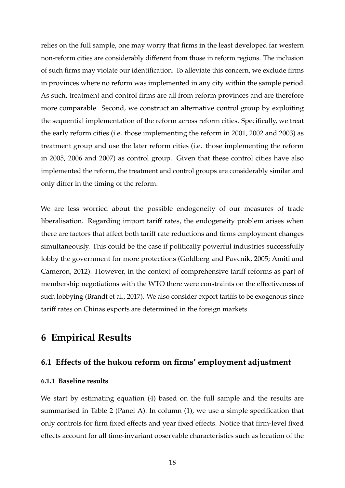relies on the full sample, one may worry that firms in the least developed far western non-reform cities are considerably different from those in reform regions. The inclusion of such firms may violate our identification. To alleviate this concern, we exclude firms in provinces where no reform was implemented in any city within the sample period. As such, treatment and control firms are all from reform provinces and are therefore more comparable. Second, we construct an alternative control group by exploiting the sequential implementation of the reform across reform cities. Specifically, we treat the early reform cities (i.e. those implementing the reform in 2001, 2002 and 2003) as treatment group and use the later reform cities (i.e. those implementing the reform in 2005, 2006 and 2007) as control group. Given that these control cities have also implemented the reform, the treatment and control groups are considerably similar and only differ in the timing of the reform.

We are less worried about the possible endogeneity of our measures of trade liberalisation. Regarding import tariff rates, the endogeneity problem arises when there are factors that affect both tariff rate reductions and firms employment changes simultaneously. This could be the case if politically powerful industries successfully lobby the government for more protections (Goldberg and Pavcnik, 2005; Amiti and Cameron, 2012). However, in the context of comprehensive tariff reforms as part of membership negotiations with the WTO there were constraints on the effectiveness of such lobbying (Brandt et al., 2017). We also consider export tariffs to be exogenous since tariff rates on Chinas exports are determined in the foreign markets.

## **6 Empirical Results**

### **6.1 Effects of the hukou reform on firms' employment adjustment**

#### **6.1.1 Baseline results**

We start by estimating equation (4) based on the full sample and the results are summarised in Table 2 (Panel A). In column (1), we use a simple specification that only controls for firm fixed effects and year fixed effects. Notice that firm-level fixed effects account for all time-invariant observable characteristics such as location of the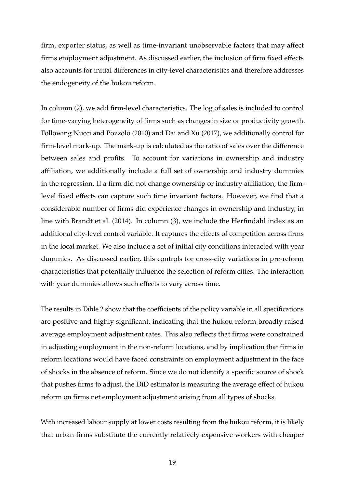firm, exporter status, as well as time-invariant unobservable factors that may affect firms employment adjustment. As discussed earlier, the inclusion of firm fixed effects also accounts for initial differences in city-level characteristics and therefore addresses the endogeneity of the hukou reform.

In column (2), we add firm-level characteristics. The log of sales is included to control for time-varying heterogeneity of firms such as changes in size or productivity growth. Following Nucci and Pozzolo (2010) and Dai and Xu (2017), we additionally control for firm-level mark-up. The mark-up is calculated as the ratio of sales over the difference between sales and profits. To account for variations in ownership and industry affiliation, we additionally include a full set of ownership and industry dummies in the regression. If a firm did not change ownership or industry affiliation, the firmlevel fixed effects can capture such time invariant factors. However, we find that a considerable number of firms did experience changes in ownership and industry, in line with Brandt et al. (2014). In column (3), we include the Herfindahl index as an additional city-level control variable. It captures the effects of competition across firms in the local market. We also include a set of initial city conditions interacted with year dummies. As discussed earlier, this controls for cross-city variations in pre-reform characteristics that potentially influence the selection of reform cities. The interaction with year dummies allows such effects to vary across time.

The results in Table 2 show that the coefficients of the policy variable in all specifications are positive and highly significant, indicating that the hukou reform broadly raised average employment adjustment rates. This also reflects that firms were constrained in adjusting employment in the non-reform locations, and by implication that firms in reform locations would have faced constraints on employment adjustment in the face of shocks in the absence of reform. Since we do not identify a specific source of shock that pushes firms to adjust, the DiD estimator is measuring the average effect of hukou reform on firms net employment adjustment arising from all types of shocks.

With increased labour supply at lower costs resulting from the hukou reform, it is likely that urban firms substitute the currently relatively expensive workers with cheaper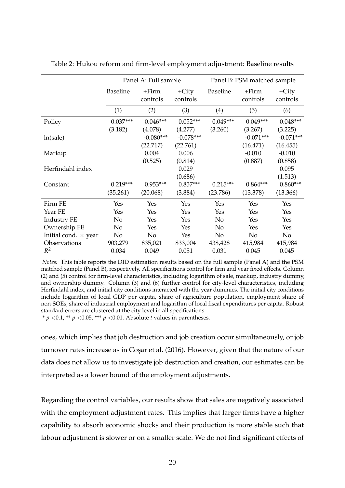|                             |                 | Panel A: Full sample   |                        |                 | Panel B: PSM matched sample |                        |
|-----------------------------|-----------------|------------------------|------------------------|-----------------|-----------------------------|------------------------|
|                             | <b>Baseline</b> | $+Firm$<br>controls    | $+City$<br>controls    | <b>Baseline</b> | $+Firm$<br>controls         | $+City$<br>controls    |
|                             | (1)             | (2)                    | (3)                    | (4)             | (5)                         | (6)                    |
| Policy                      | $0.037***$      | $0.046***$             | $0.052***$             | $0.049***$      | $0.049***$                  | $0.048***$             |
| ln(sale)                    | (3.182)         | (4.078)<br>$-0.080***$ | (4.277)<br>$-0.078***$ | (3.260)         | (3.267)<br>$-0.071***$      | (3.225)<br>$-0.071***$ |
| Markup                      |                 | (22.717)<br>0.004      | (22.761)<br>0.006      |                 | (16.471)<br>$-0.010$        | (16.455)<br>$-0.010$   |
| Herfindahl index            |                 | (0.525)                | (0.814)<br>0.029       |                 | (0.887)                     | (0.858)<br>0.095       |
|                             |                 |                        | (0.686)                |                 |                             | (1.513)                |
| Constant                    | $0.219***$      | $0.953***$             | $0.857***$             | $0.215***$      | $0.864***$                  | $0.860***$             |
|                             | (35.261)        | (20.068)               | (3.884)                | (23.786)        | (13.378)                    | (13.366)               |
| Firm FE                     | Yes             | Yes                    | Yes                    | Yes             | Yes                         | Yes                    |
| Year FE                     | Yes             | Yes                    | Yes                    | Yes             | <b>Yes</b>                  | Yes                    |
| <b>Industry FE</b>          | No              | Yes                    | Yes                    | N <sub>0</sub>  | Yes                         | Yes                    |
| Ownership FE                | No              | Yes                    | Yes                    | No              | Yes                         | Yes                    |
| Initial cond. $\times$ year | No              | No                     | Yes                    | No              | No                          | No                     |
| Observations                | 903,279         | 835,021                | 833,004                | 438,428         | 415,984                     | 415,984                |
| $R^2$                       | 0.034           | 0.049                  | 0.051                  | 0.031           | 0.045                       | 0.045                  |

Table 2: Hukou reform and firm-level employment adjustment: Baseline results

*Notes:* This table reports the DID estimation results based on the full sample (Panel A) and the PSM matched sample (Panel B), respectively. All specifications control for firm and year fixed effects. Column (2) and (5) control for firm-level characteristics, including logarithm of sale, markup, industry dummy, and ownership dummy. Column (3) and (6) further control for city-level characteristics, including Herfindahl index, and initial city conditions interacted with the year dummies. The initial city conditions include logarithm of local GDP per capita, share of agriculture population, employment share of non-SOEs, share of industrial employment and logarithm of local fiscal expenditures per capita. Robust standard errors are clustered at the city level in all specifications.

\*  $p \lt 0.1$ , \*\*  $p \lt 0.05$ , \*\*\*  $p \lt 0.01$ . Absolute *t* values in parentheses.

ones, which implies that job destruction and job creation occur simultaneously, or job turnover rates increase as in Cosar et al. (2016). However, given that the nature of our data does not allow us to investigate job destruction and creation, our estimates can be interpreted as a lower bound of the employment adjustments.

Regarding the control variables, our results show that sales are negatively associated with the employment adjustment rates. This implies that larger firms have a higher capability to absorb economic shocks and their production is more stable such that labour adjustment is slower or on a smaller scale. We do not find significant effects of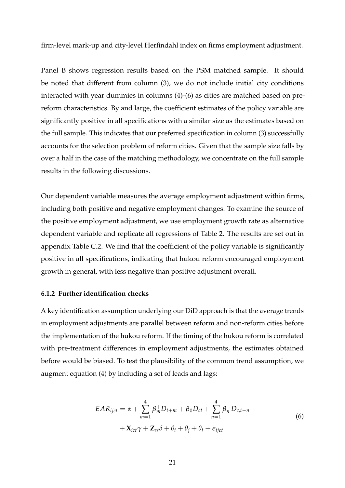firm-level mark-up and city-level Herfindahl index on firms employment adjustment.

Panel B shows regression results based on the PSM matched sample. It should be noted that different from column (3), we do not include initial city conditions interacted with year dummies in columns (4)-(6) as cities are matched based on prereform characteristics. By and large, the coefficient estimates of the policy variable are significantly positive in all specifications with a similar size as the estimates based on the full sample. This indicates that our preferred specification in column (3) successfully accounts for the selection problem of reform cities. Given that the sample size falls by over a half in the case of the matching methodology, we concentrate on the full sample results in the following discussions.

Our dependent variable measures the average employment adjustment within firms, including both positive and negative employment changes. To examine the source of the positive employment adjustment, we use employment growth rate as alternative dependent variable and replicate all regressions of Table 2. The results are set out in appendix Table C.2. We find that the coefficient of the policy variable is significantly positive in all specifications, indicating that hukou reform encouraged employment growth in general, with less negative than positive adjustment overall.

#### **6.1.2 Further identification checks**

A key identification assumption underlying our DiD approach is that the average trends in employment adjustments are parallel between reform and non-reform cities before the implementation of the hukou reform. If the timing of the hukou reform is correlated with pre-treatment differences in employment adjustments, the estimates obtained before would be biased. To test the plausibility of the common trend assumption, we augment equation (4) by including a set of leads and lags:

$$
EAR_{ijct} = \alpha + \sum_{m=1}^{4} \beta_m^+ D_{t+m} + \beta_0 D_{ct} + \sum_{n=1}^{4} \beta_n^- D_{c,t-n}
$$
  
+ 
$$
\mathbf{X}_{ict}\gamma + \mathbf{Z}_{ct}\delta + \theta_i + \theta_j + \theta_t + \epsilon_{ijct}
$$
 (6)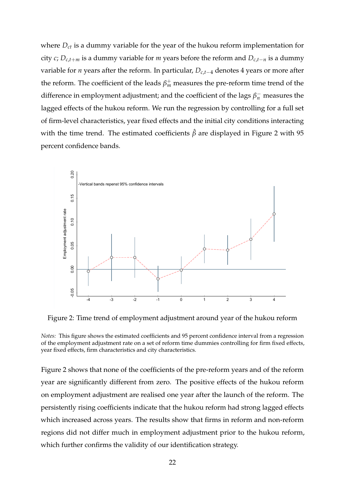where *Dct* is a dummy variable for the year of the hukou reform implementation for city *c*;  $D_{c,t+m}$  is a dummy variable for *m* years before the reform and  $D_{c,t-n}$  is a dummy variable for *n* years after the reform. In particular, *Dc*,*t*−<sup>4</sup> denotes 4 years or more after the reform. The coefficient of the leads  $\beta_m^+$  measures the pre-reform time trend of the difference in employment adjustment; and the coefficient of the lags  $\beta_n^-$  measures the lagged effects of the hukou reform. We run the regression by controlling for a full set of firm-level characteristics, year fixed effects and the initial city conditions interacting with the time trend. The estimated coefficients  $\hat{\beta}$  are displayed in Figure 2 with 95 percent confidence bands.



Figure 2: Time trend of employment adjustment around year of the hukou reform

Figure 2 shows that none of the coefficients of the pre-reform years and of the reform year are significantly different from zero. The positive effects of the hukou reform on employment adjustment are realised one year after the launch of the reform. The persistently rising coefficients indicate that the hukou reform had strong lagged effects which increased across years. The results show that firms in reform and non-reform regions did not differ much in employment adjustment prior to the hukou reform, which further confirms the validity of our identification strategy.

*Notes:* This figure shows the estimated coefficients and 95 percent confidence interval from a regression of the employment adjustment rate on a set of reform time dummies controlling for firm fixed effects, year fixed effects, firm characteristics and city characteristics.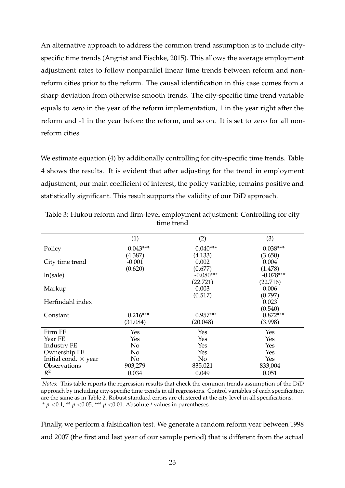An alternative approach to address the common trend assumption is to include cityspecific time trends (Angrist and Pischke, 2015). This allows the average employment adjustment rates to follow nonparallel linear time trends between reform and nonreform cities prior to the reform. The causal identification in this case comes from a sharp deviation from otherwise smooth trends. The city-specific time trend variable equals to zero in the year of the reform implementation, 1 in the year right after the reform and -1 in the year before the reform, and so on. It is set to zero for all nonreform cities.

We estimate equation (4) by additionally controlling for city-specific time trends. Table 4 shows the results. It is evident that after adjusting for the trend in employment adjustment, our main coefficient of interest, the policy variable, remains positive and statistically significant. This result supports the validity of our DiD approach.

|                             | (1)        | (2)            | (3)         |
|-----------------------------|------------|----------------|-------------|
| Policy                      | $0.043***$ | $0.040***$     | $0.038***$  |
|                             | (4.387)    | (4.133)        | (3.650)     |
| City time trend             | $-0.001$   | 0.002          | 0.004       |
|                             | (0.620)    | (0.677)        | (1.478)     |
| ln(sale)                    |            | $-0.080***$    | $-0.078***$ |
|                             |            | (22.721)       | (22.716)    |
| Markup                      |            | 0.003          | 0.006       |
|                             |            | (0.517)        | (0.797)     |
| Herfindahl index            |            |                | 0.023       |
|                             |            |                | (0.540)     |
| Constant                    | $0.216***$ | $0.957***$     | $0.872***$  |
|                             | (31.084)   | (20.048)       | (3.998)     |
| Firm FE                     | Yes        | Yes            | Yes         |
| Year FE                     | Yes        | Yes            | Yes         |
| <b>Industry FE</b>          | No         | Yes            | Yes         |
| Ownership FE                | No         | Yes            | Yes         |
| Initial cond. $\times$ year | No         | N <sub>o</sub> | Yes         |
| Observations                | 903,279    | 835,021        | 833,004     |
| $R^2$                       | 0.034      | 0.049          | 0.051       |

Table 3: Hukou reform and firm-level employment adjustment: Controlling for city time trend

*Notes:* This table reports the regression results that check the common trends assumption of the DiD approach by including city-specific time trends in all regressions. Control variables of each specification are the same as in Table 2. Robust standard errors are clustered at the city level in all specifications. \* *p* <0.1, \*\* *p* <0.05, \*\*\* *p* <0.01. Absolute *t* values in parentheses.

Finally, we perform a falsification test. We generate a random reform year between 1998 and 2007 (the first and last year of our sample period) that is different from the actual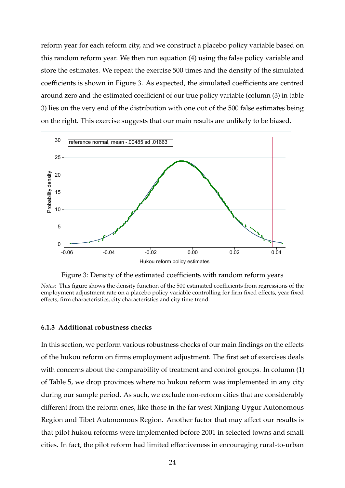reform year for each reform city, and we construct a placebo policy variable based on this random reform year. We then run equation (4) using the false policy variable and store the estimates. We repeat the exercise 500 times and the density of the simulated coefficients is shown in Figure 3. As expected, the simulated coefficients are centred around zero and the estimated coefficient of our true policy variable (column (3) in table 3) lies on the very end of the distribution with one out of the 500 false estimates being on the right. This exercise suggests that our main results are unlikely to be biased.



Figure 3: Density of the estimated coefficients with random reform years

*Notes:* This figure shows the density function of the 500 estimated coefficients from regressions of the employment adjustment rate on a placebo policy variable controlling for firm fixed effects, year fixed effects, firm characteristics, city characteristics and city time trend.

#### **6.1.3 Additional robustness checks**

In this section, we perform various robustness checks of our main findings on the effects of the hukou reform on firms employment adjustment. The first set of exercises deals with concerns about the comparability of treatment and control groups. In column (1) of Table 5, we drop provinces where no hukou reform was implemented in any city during our sample period. As such, we exclude non-reform cities that are considerably different from the reform ones, like those in the far west Xinjiang Uygur Autonomous Region and Tibet Autonomous Region. Another factor that may affect our results is that pilot hukou reforms were implemented before 2001 in selected towns and small cities. In fact, the pilot reform had limited effectiveness in encouraging rural-to-urban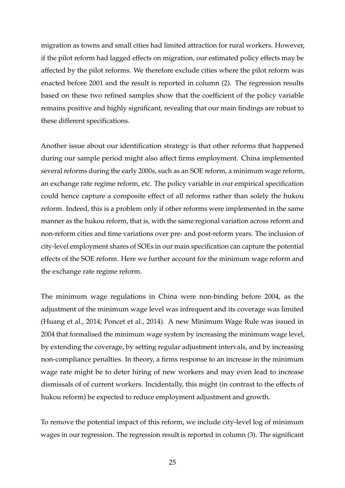migration as towns and small cities had limited attraction for rural workers. However, if the pilot reform had lagged effects on migration, our estimated policy effects may be affected by the pilot reforms. We therefore exclude cities where the pilot reform was enacted before 2001 and the result is reported in column (2). The regression results based on these two refined samples show that the coefficient of the policy variable remains positive and highly significant, revealing that our main findings are robust to these different specifications.

Another issue about our identification strategy is that other reforms that happened during our sample period might also affect firms employment. China implemented several reforms during the early 2000s, such as an SOE reform, a minimum wage reform, an exchange rate regime reform, etc. The policy variable in our empirical specification could hence capture a composite effect of all reforms rather than solely the hukou reform. Indeed, this is a problem only if other reforms were implemented in the same manner as the hukou reform, that is, with the same regional variation across reform and non-reform cities and time variations over pre- and post-reform years. The inclusion of city-level employment shares of SOEs in our main specification can capture the potential effects of the SOE reform. Here we further account for the minimum wage reform and the exchange rate regime reform.

The minimum wage regulations in China were non-binding before 2004, as the adjustment of the minimum wage level was infrequent and its coverage was limited (Huang et al., 2014; Poncet et al., 2014). A new Minimum Wage Rule was issued in 2004 that formalised the minimum wage system by increasing the minimum wage level, by extending the coverage, by setting regular adjustment intervals, and by increasing non-compliance penalties. In theory, a firms response to an increase in the minimum wage rate might be to deter hiring of new workers and may even lead to increase dismissals of of current workers. Incidentally, this might (in contrast to the effects of hukou reform) be expected to reduce employment adjustment and growth.

To remove the potential impact of this reform, we include city-level log of minimum wages in our regression. The regression result is reported in column (3). The significant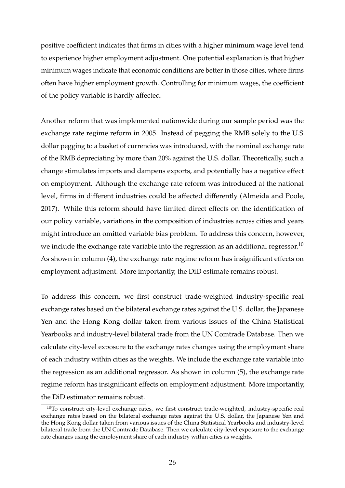positive coefficient indicates that firms in cities with a higher minimum wage level tend to experience higher employment adjustment. One potential explanation is that higher minimum wages indicate that economic conditions are better in those cities, where firms often have higher employment growth. Controlling for minimum wages, the coefficient of the policy variable is hardly affected.

Another reform that was implemented nationwide during our sample period was the exchange rate regime reform in 2005. Instead of pegging the RMB solely to the U.S. dollar pegging to a basket of currencies was introduced, with the nominal exchange rate of the RMB depreciating by more than 20% against the U.S. dollar. Theoretically, such a change stimulates imports and dampens exports, and potentially has a negative effect on employment. Although the exchange rate reform was introduced at the national level, firms in different industries could be affected differently (Almeida and Poole, 2017). While this reform should have limited direct effects on the identification of our policy variable, variations in the composition of industries across cities and years might introduce an omitted variable bias problem. To address this concern, however, we include the exchange rate variable into the regression as an additional regressor.<sup>10</sup> As shown in column (4), the exchange rate regime reform has insignificant effects on employment adjustment. More importantly, the DiD estimate remains robust.

To address this concern, we first construct trade-weighted industry-specific real exchange rates based on the bilateral exchange rates against the U.S. dollar, the Japanese Yen and the Hong Kong dollar taken from various issues of the China Statistical Yearbooks and industry-level bilateral trade from the UN Comtrade Database. Then we calculate city-level exposure to the exchange rates changes using the employment share of each industry within cities as the weights. We include the exchange rate variable into the regression as an additional regressor. As shown in column (5), the exchange rate regime reform has insignificant effects on employment adjustment. More importantly, the DiD estimator remains robust.

 $10$ To construct city-level exchange rates, we first construct trade-weighted, industry-specific real exchange rates based on the bilateral exchange rates against the U.S. dollar, the Japanese Yen and the Hong Kong dollar taken from various issues of the China Statistical Yearbooks and industry-level bilateral trade from the UN Comtrade Database. Then we calculate city-level exposure to the exchange rate changes using the employment share of each industry within cities as weights.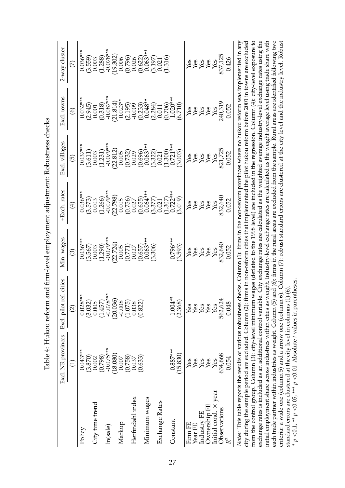| in a second that the company of the contract of the contract of the contract of the contract of the contract of the contract of the contract of the contract of the contract of the contract of the contract of the contract o<br>I |
|-------------------------------------------------------------------------------------------------------------------------------------------------------------------------------------------------------------------------------------|
|                                                                                                                                                                                                                                     |
|                                                                                                                                                                                                                                     |
| .                                                                                                                                                                                                                                   |
|                                                                                                                                                                                                                                     |
| $\frac{1}{2}$                                                                                                                                                                                                                       |
| ;                                                                                                                                                                                                                                   |
| ;<br>;<br>;                                                                                                                                                                                                                         |
| $\overline{\phantom{a}}$<br>١                                                                                                                                                                                                       |

|                                                        | Excl. NR provinces     | Excl. pilot ref. cities                                                                                                                                                                                                                                                                                                                 | Min. wages                                      | +Exch. rates                                     | Excl. villages                                                                                                                                         | Excl. towns                                         | 2-way cluster                                  |
|--------------------------------------------------------|------------------------|-----------------------------------------------------------------------------------------------------------------------------------------------------------------------------------------------------------------------------------------------------------------------------------------------------------------------------------------|-------------------------------------------------|--------------------------------------------------|--------------------------------------------------------------------------------------------------------------------------------------------------------|-----------------------------------------------------|------------------------------------------------|
|                                                        | Ξ                      | $\widehat{\mathfrak{Q}}$                                                                                                                                                                                                                                                                                                                | ලු                                              | $\bigoplus$                                      | ල                                                                                                                                                      | $\circledcirc$                                      | E                                              |
| Policy                                                 | $0.043***$<br>(3.870)  | $0.028***$<br>(3.032)                                                                                                                                                                                                                                                                                                                   | $0.036***$<br>(3.567)                           | $0.036***$<br>(3.573)                            | $0.037***$                                                                                                                                             | $0.032***$<br>(2.945)                               | $0.036***$<br>(3.559)                          |
| City time trend                                        | 0.002                  | 0.005                                                                                                                                                                                                                                                                                                                                   | 0.003                                           | 0.003                                            | $\binom{3.611}{0.003}$                                                                                                                                 | 0.001                                               | 0.003                                          |
| In(sale)                                               | $-0.075***$<br>(0.798) | $-0.078***$<br>(1.457)                                                                                                                                                                                                                                                                                                                  | $-0.079***$<br>(1.290)                          | $-0.079***$<br>(1.266)                           | $-0.079***$<br>(1.231)                                                                                                                                 | $-0.087***$<br>(0.318)                              | $-0.078***$<br>(1.288)                         |
|                                                        | 18.080)                | (20.036)                                                                                                                                                                                                                                                                                                                                | (22.724)                                        | (22.798)                                         | $(22.812)$<br>$0.005$                                                                                                                                  | (21.814)                                            | (19.302)                                       |
| Markup                                                 | (0.758)<br>0.007       | (1.075)<br>$-0.008$                                                                                                                                                                                                                                                                                                                     | 0.005                                           | 0.005                                            |                                                                                                                                                        | $0.023**$                                           | (0.796)<br>0.006                               |
| Herfindahl index                                       | 0.037                  | 0.038                                                                                                                                                                                                                                                                                                                                   |                                                 |                                                  |                                                                                                                                                        |                                                     |                                                |
| Minimum wages                                          | (0.633)                | (0.822)                                                                                                                                                                                                                                                                                                                                 | $(0.771)$<br>$0.027$<br>$(0.657)$<br>$0.063***$ | $(0.756)$<br>0.027<br>0.055)<br>0.064***         |                                                                                                                                                        | $(2.195)$<br>$-0.009$<br>$(0.233)$<br>$0.048**$     | $\overline{)0.026}$<br>$(0.622)$<br>$0.063***$ |
|                                                        |                        |                                                                                                                                                                                                                                                                                                                                         | (3.306)                                         |                                                  |                                                                                                                                                        |                                                     | (3.197)                                        |
| Exchange Rates                                         |                        |                                                                                                                                                                                                                                                                                                                                         |                                                 | $(3.377)$<br>$(0.021$<br>$(1.307)$<br>$0.722***$ | $\begin{smallmatrix} (0.732)\\ 0.029\\ 0.696)\\ (0.696)\\ (0.696)\\ (0.332)\\ (0.300)\\ (0.300)\\ (1.300)\\ (1.300)\\ (1.721^{**}\\ \end{smallmatrix}$ | $(2.284)$<br>0.011<br>0.706)<br>1.020***<br>(6.710) | $\begin{array}{c} 0.021 \\ 1.316 \end{array}$  |
| Constant                                               | $0.887***$             | $1.004**$                                                                                                                                                                                                                                                                                                                               | $0.796***$                                      |                                                  |                                                                                                                                                        |                                                     |                                                |
|                                                        | (15.830)               | (2.368)                                                                                                                                                                                                                                                                                                                                 | (3.593)                                         | (610.5)                                          | (3.003)                                                                                                                                                |                                                     |                                                |
| Firm FE                                                | Yes                    | Yes                                                                                                                                                                                                                                                                                                                                     |                                                 | es xx<br>XX                                      |                                                                                                                                                        | <b>ASSES</b>                                        |                                                |
| Year FE                                                | Yes                    | Yes                                                                                                                                                                                                                                                                                                                                     | <b>saxes</b>                                    |                                                  |                                                                                                                                                        |                                                     | <b>ASES</b>                                    |
| Industry FE                                            | Yes                    | Yes                                                                                                                                                                                                                                                                                                                                     |                                                 |                                                  |                                                                                                                                                        |                                                     |                                                |
| Ownership FE                                           | Yes                    | Yes                                                                                                                                                                                                                                                                                                                                     |                                                 |                                                  | <b>BERKA</b>                                                                                                                                           |                                                     |                                                |
| Initial cond. × year                                   | Yes                    | Yes                                                                                                                                                                                                                                                                                                                                     | Yes                                             | Yes                                              |                                                                                                                                                        | Yes                                                 | Yes                                            |
| Observations                                           | 634,668                | 562,624                                                                                                                                                                                                                                                                                                                                 | 832,640                                         | 832,640                                          | 821,725                                                                                                                                                | 240,319                                             | 837,125                                        |
| $R^2$                                                  | 0.054                  | 0.048                                                                                                                                                                                                                                                                                                                                   | 0.052                                           | 0.052                                            | 0.052                                                                                                                                                  | 0.052                                               | 0.426                                          |
|                                                        |                        | Notes: This table reports the results of various robustness checks. Column (1): firms in the non-reform provinces where no hukou reform was implemented in any                                                                                                                                                                          |                                                 |                                                  |                                                                                                                                                        |                                                     |                                                |
|                                                        |                        | city during the sample period are excluded. Column (2): firms in non-reform cities that implemented the pilot hukou reform before 2001 in towns are excluded                                                                                                                                                                            |                                                 |                                                  |                                                                                                                                                        |                                                     |                                                |
| from the control group. Column (3): city-level minimum |                        |                                                                                                                                                                                                                                                                                                                                         |                                                 |                                                  | wages (deflated to the 1998 level) are included in the regression. Column (4): city-level exposure to                                                  |                                                     |                                                |
|                                                        |                        | exchange rates is included as an additional control variable. City exchange rates are calculated as the weighted average industry-level exchange rates using the<br>initial employment share across industries within cities as weight. Industry-level exchange rates are calculated as the weight average level using trade share with |                                                 |                                                  |                                                                                                                                                        |                                                     |                                                |
|                                                        |                        |                                                                                                                                                                                                                                                                                                                                         |                                                 |                                                  |                                                                                                                                                        |                                                     |                                                |

each trade partner within industries as weight. Column (5) and (6): firms in the rural areas are excluded from the sample. Rural areas are identified following two criteria: a wide one (column 5) and a arrow one (column 6). Column (7): robust standard errors are clustered at the city level and the industry level. Robust criteria: a wide one (column 5) and a arrow one (column 6). Column (7): robust standard errors are clustered at the city level and the industry level. Robust each trade partner within industries as weight. Column (5) and (6): firms in the rural areas are excluded from the sample. Rural areas are identified following two <0.01. Absolute *t* values in parentheses. standard errors are clustered at the city level in columns (1)-(6).  ${<}0.05$ , \*\*\*  $\leqslant$  0.1,  $\approx$ \* *p*

*p*

*p*

initial employment share across industries within cities as weight. Industry-level exchange rates are calculated as the weight average level using trade share with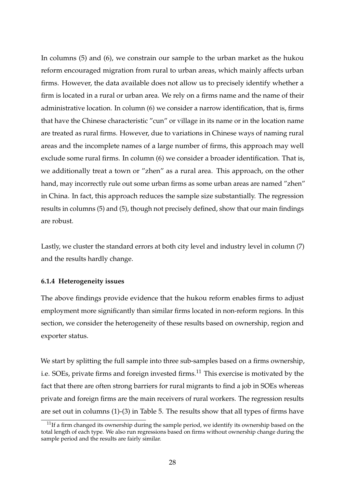In columns (5) and (6), we constrain our sample to the urban market as the hukou reform encouraged migration from rural to urban areas, which mainly affects urban firms. However, the data available does not allow us to precisely identify whether a firm is located in a rural or urban area. We rely on a firms name and the name of their administrative location. In column (6) we consider a narrow identification, that is, firms that have the Chinese characteristic "cun" or village in its name or in the location name are treated as rural firms. However, due to variations in Chinese ways of naming rural areas and the incomplete names of a large number of firms, this approach may well exclude some rural firms. In column (6) we consider a broader identification. That is, we additionally treat a town or "zhen" as a rural area. This approach, on the other hand, may incorrectly rule out some urban firms as some urban areas are named "zhen" in China. In fact, this approach reduces the sample size substantially. The regression results in columns (5) and (5), though not precisely defined, show that our main findings are robust.

Lastly, we cluster the standard errors at both city level and industry level in column (7) and the results hardly change.

#### **6.1.4 Heterogeneity issues**

The above findings provide evidence that the hukou reform enables firms to adjust employment more significantly than similar firms located in non-reform regions. In this section, we consider the heterogeneity of these results based on ownership, region and exporter status.

We start by splitting the full sample into three sub-samples based on a firms ownership, i.e. SOEs, private firms and foreign invested firms.<sup>11</sup> This exercise is motivated by the fact that there are often strong barriers for rural migrants to find a job in SOEs whereas private and foreign firms are the main receivers of rural workers. The regression results are set out in columns (1)-(3) in Table 5. The results show that all types of firms have

 $11$ If a firm changed its ownership during the sample period, we identify its ownership based on the total length of each type. We also run regressions based on firms without ownership change during the sample period and the results are fairly similar.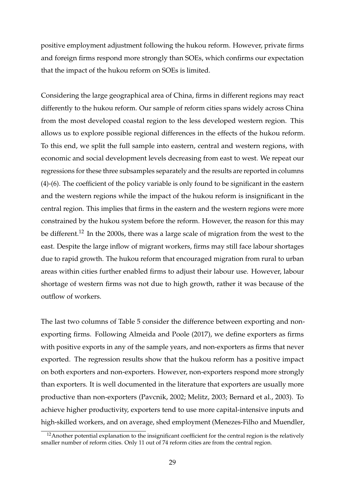positive employment adjustment following the hukou reform. However, private firms and foreign firms respond more strongly than SOEs, which confirms our expectation that the impact of the hukou reform on SOEs is limited.

Considering the large geographical area of China, firms in different regions may react differently to the hukou reform. Our sample of reform cities spans widely across China from the most developed coastal region to the less developed western region. This allows us to explore possible regional differences in the effects of the hukou reform. To this end, we split the full sample into eastern, central and western regions, with economic and social development levels decreasing from east to west. We repeat our regressions for these three subsamples separately and the results are reported in columns (4)-(6). The coefficient of the policy variable is only found to be significant in the eastern and the western regions while the impact of the hukou reform is insignificant in the central region. This implies that firms in the eastern and the western regions were more constrained by the hukou system before the reform. However, the reason for this may be different.<sup>12</sup> In the 2000s, there was a large scale of migration from the west to the east. Despite the large inflow of migrant workers, firms may still face labour shortages due to rapid growth. The hukou reform that encouraged migration from rural to urban areas within cities further enabled firms to adjust their labour use. However, labour shortage of western firms was not due to high growth, rather it was because of the outflow of workers.

The last two columns of Table 5 consider the difference between exporting and nonexporting firms. Following Almeida and Poole (2017), we define exporters as firms with positive exports in any of the sample years, and non-exporters as firms that never exported. The regression results show that the hukou reform has a positive impact on both exporters and non-exporters. However, non-exporters respond more strongly than exporters. It is well documented in the literature that exporters are usually more productive than non-exporters (Pavcnik, 2002; Melitz, 2003; Bernard et al., 2003). To achieve higher productivity, exporters tend to use more capital-intensive inputs and high-skilled workers, and on average, shed employment (Menezes-Filho and Muendler,

 $12$ Another potential explanation to the insignificant coefficient for the central region is the relatively smaller number of reform cities. Only 11 out of 74 reform cities are from the central region.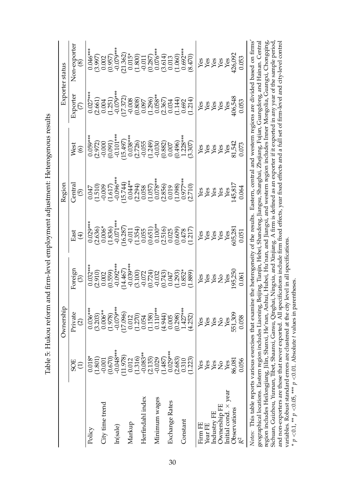| <br> <br>                                                                                                                                                                                                                                                                                                                                         |
|---------------------------------------------------------------------------------------------------------------------------------------------------------------------------------------------------------------------------------------------------------------------------------------------------------------------------------------------------|
| hister History History History Are And Annual American School Are Annual Area Millery History Are Are Are Are A<br>where the control of the control of the control of the control of the control of the control of the control of the control of the control of the control of the control of the control of the control of the control of the co |
|                                                                                                                                                                                                                                                                                                                                                   |
|                                                                                                                                                                                                                                                                                                                                                   |
|                                                                                                                                                                                                                                                                                                                                                   |
| )<br> <br>                                                                                                                                                                                                                                                                                                                                        |
|                                                                                                                                                                                                                                                                                                                                                   |
| $\frac{1}{2}$<br>$\overline{\phantom{a}}$<br>i                                                                                                                                                                                                                                                                                                    |

|                                                                                                                                                                                                                                                                                                                                                                                      |                        | Ownership                      |                                                |                                                | Region                                                                                                 |                                                                                                                                                                                                                                                                                                                                                              | Exporter status                                                                               |                                                            |
|--------------------------------------------------------------------------------------------------------------------------------------------------------------------------------------------------------------------------------------------------------------------------------------------------------------------------------------------------------------------------------------|------------------------|--------------------------------|------------------------------------------------|------------------------------------------------|--------------------------------------------------------------------------------------------------------|--------------------------------------------------------------------------------------------------------------------------------------------------------------------------------------------------------------------------------------------------------------------------------------------------------------------------------------------------------------|-----------------------------------------------------------------------------------------------|------------------------------------------------------------|
|                                                                                                                                                                                                                                                                                                                                                                                      | 5OE                    | Private<br>$\widehat{\Omega}$  | Foreign<br>ල                                   | East<br>$\bigoplus$                            | Centra<br>$\widehat{\mathfrak{G}}$                                                                     | West<br>$\odot$                                                                                                                                                                                                                                                                                                                                              | Exporter                                                                                      | Non-exporter<br><u>න</u>                                   |
| Policy                                                                                                                                                                                                                                                                                                                                                                               | $0.018*$<br>(1.801)    | $0.036***$<br>(3.203)          | $0.032***$<br>(2.910)                          | $0.029***$                                     | (1.510)<br>0.047                                                                                       | $0.059***$<br>(2.972)                                                                                                                                                                                                                                                                                                                                        | $0.027***$                                                                                    | $0.046***$                                                 |
| City time trend                                                                                                                                                                                                                                                                                                                                                                      | $-0.001$               | $0.006**$                      | 0.002                                          | $0.006*$<br>(2.636)                            | $-0.009$                                                                                               | $-0.000$                                                                                                                                                                                                                                                                                                                                                     | (2.661)<br>0.004                                                                              | (3.997)<br>0.002                                           |
| ln(sale)                                                                                                                                                                                                                                                                                                                                                                             | $-0.048***$<br>(0.670) | $-0.079***$<br>(1.978)         | $-0.092***$<br>(0.559)                         | $-0.071***$<br>(1.836)                         | $-0.096**$<br>(1.617)                                                                                  | $-0.101***$<br>(0.091)                                                                                                                                                                                                                                                                                                                                       | $-0.079***$<br>(1.251)                                                                        | $-0.079***$<br>(0.957)                                     |
|                                                                                                                                                                                                                                                                                                                                                                                      | 11.978)                | 17.096                         | 14.467                                         | (16.287)                                       |                                                                                                        |                                                                                                                                                                                                                                                                                                                                                              |                                                                                               |                                                            |
| Markup                                                                                                                                                                                                                                                                                                                                                                               | 0.012                  | 0.012                          | $-0.039***$                                    |                                                |                                                                                                        |                                                                                                                                                                                                                                                                                                                                                              | (17.372)                                                                                      | $(21.362)$<br>0.015*                                       |
| Herfindahl index                                                                                                                                                                                                                                                                                                                                                                     | $-0.083**$<br>(1.316)  | (1.270)<br>0.054               | $(3.100)$<br>$-0.072$<br>$(0.724)$<br>$-0.032$ | $(1.354)$<br>$(1.354)$<br>$0.055$              | $\begin{array}{c} (15.744)\\ 0.044**\\ (2.294)\\ 0.058\\ (1.057)\\ (1.057)\\ 0.078*** \end{array}$     | $[15.497] \atop [0.038** \atop [0.036** \atop [0.056] \hline \atop [0.056] \hline \atop [0.030] \hline \atop [0.030] \hline \atop [0.030] \hline \atop [0.030] \hline \atop [0.030] \hline \atop [0.030] \hline \atop [0.030] \hline \atop [0.030] \hline \atop [0.030] \hline \atop [0.030] \hline \atop [0.030] \hline \atop [0.030] \hline \atop [0.030]$ | $(0.808)$<br>0.097                                                                            | $(1.800)$<br>$-0.011$                                      |
| Minimum wages                                                                                                                                                                                                                                                                                                                                                                        | (2.135)<br>$-0.029$    | $0.110***$<br>(1.158)          |                                                | $(0.651)$<br>0.100**                           |                                                                                                        |                                                                                                                                                                                                                                                                                                                                                              | $\begin{array}{c} (1.296)\\ 0.058^{**}\\ 0.0587\\ 0.034\\ 0.144)\\ 0.692\\ 0.692 \end{array}$ | $(0.287)$<br>0.076***                                      |
|                                                                                                                                                                                                                                                                                                                                                                                      | (1.487)                | (4.944)                        | (0.743)                                        |                                                | (2.856)                                                                                                |                                                                                                                                                                                                                                                                                                                                                              |                                                                                               |                                                            |
| Exchange Rates                                                                                                                                                                                                                                                                                                                                                                       | $0.029***$             | 0.005                          | 0.047                                          |                                                |                                                                                                        | $\begin{array}{c} (0.882) \\ 0.007 \end{array}$                                                                                                                                                                                                                                                                                                              |                                                                                               | $\begin{array}{c} (3.614) \\ 0.013 \\ (1.060) \end{array}$ |
| Constant                                                                                                                                                                                                                                                                                                                                                                             | (2.683)<br>0.310       | $1.427***$<br>(0.298)          | $(1.293)$<br>$0.852*$                          | $(2.516)$<br>$(0.609)$<br>$(0.609)$<br>$0.478$ | $\begin{array}{c} 0.019 \\ (1.098) \\ 0.977*** \end{array}$                                            | $(0.496)$<br>1.228***                                                                                                                                                                                                                                                                                                                                        |                                                                                               | $0.692***$                                                 |
|                                                                                                                                                                                                                                                                                                                                                                                      | (1.223)                | (4.252)                        | (1.889)                                        | (1.217)                                        | (2.710)                                                                                                | (3.307)                                                                                                                                                                                                                                                                                                                                                      | (1.214)                                                                                       | (8.470)                                                    |
| Firm FE                                                                                                                                                                                                                                                                                                                                                                              | Yes                    | Yes                            | Yes                                            |                                                |                                                                                                        |                                                                                                                                                                                                                                                                                                                                                              |                                                                                               |                                                            |
| Year FE                                                                                                                                                                                                                                                                                                                                                                              |                        | Yes                            |                                                |                                                |                                                                                                        |                                                                                                                                                                                                                                                                                                                                                              |                                                                                               |                                                            |
| Industry FE                                                                                                                                                                                                                                                                                                                                                                          | yes<br>Yes             | Yes                            | <b>SES</b><br>SES                              | es<br>XX<br>XX<br>Xes                          | es a gas<br>A gas                                                                                      |                                                                                                                                                                                                                                                                                                                                                              | <b>ARSES</b>                                                                                  | <b>ARSES</b><br>ARSES                                      |
| Ownership FE                                                                                                                                                                                                                                                                                                                                                                         | $\overline{S}$         | $\mathop{\mathsf{S}}\nolimits$ |                                                |                                                |                                                                                                        |                                                                                                                                                                                                                                                                                                                                                              |                                                                                               |                                                            |
| Initial cond. $\times$ year                                                                                                                                                                                                                                                                                                                                                          | Yes                    | Yes                            |                                                | Yes                                            |                                                                                                        |                                                                                                                                                                                                                                                                                                                                                              |                                                                                               |                                                            |
| Observations                                                                                                                                                                                                                                                                                                                                                                         | 86,081                 | 551,309                        | 195,250                                        | 605,28                                         | 145,817                                                                                                |                                                                                                                                                                                                                                                                                                                                                              | 406,548                                                                                       | 426,092                                                    |
|                                                                                                                                                                                                                                                                                                                                                                                      | 0.056                  | 0.058                          | 0.061                                          | 0.051                                          | 0.064                                                                                                  | 0.073                                                                                                                                                                                                                                                                                                                                                        | 0.053                                                                                         | 0.053                                                      |
| Notes: This table reports various exercises that examine the heterogeneity of the results. Eastern, central and western regions are divided based on firms'<br>region includes Heilongjiang, Jilin, Shanxi, He'nan, Anhui, Hubei, Hu'nan, and Jiangxi, and western region includes Imer Mongolia, Guangxi, Chongqing,<br>geographical locations. Eastern region includes Liaoning, I |                        |                                |                                                |                                                | Beijing, Tianjin, Hebei, Shandong, Jiangsu, Shanghai, Zhejiang, Fujian, Guangdong, and Hainan. Central |                                                                                                                                                                                                                                                                                                                                                              |                                                                                               |                                                            |
| Sichuan, Guizhou, Yunnan, Tibet, Shaanxi, Gansu, Qinghai, Ningxia, and Xinjiang. A firm is defined as an exporter if it exported in any year of the sample period                                                                                                                                                                                                                    |                        |                                |                                                |                                                |                                                                                                        |                                                                                                                                                                                                                                                                                                                                                              |                                                                                               |                                                            |

and non-exporters are those that never exported. All specifications include firm fixed effects, year fixed effects and a full set of firm-level and city-level control

variables. Robust standard errors are clustered at the city level in all specifications.

<0.01. Absolute *t* values in parentheses.

\* *p*

 $\leqslant$  0.1,  $\approx$ 

*p*

 ${<}0.05$ , \*\*\*

*p*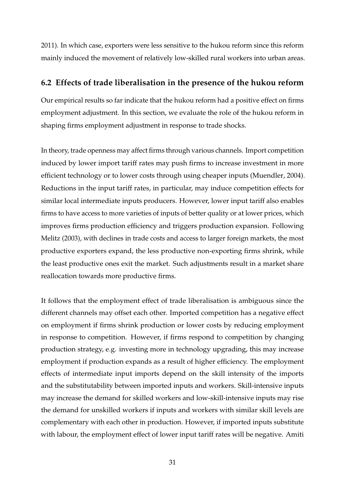2011). In which case, exporters were less sensitive to the hukou reform since this reform mainly induced the movement of relatively low-skilled rural workers into urban areas.

## **6.2 Effects of trade liberalisation in the presence of the hukou reform**

Our empirical results so far indicate that the hukou reform had a positive effect on firms employment adjustment. In this section, we evaluate the role of the hukou reform in shaping firms employment adjustment in response to trade shocks.

In theory, trade openness may affect firms through various channels. Import competition induced by lower import tariff rates may push firms to increase investment in more efficient technology or to lower costs through using cheaper inputs (Muendler, 2004). Reductions in the input tariff rates, in particular, may induce competition effects for similar local intermediate inputs producers. However, lower input tariff also enables firms to have access to more varieties of inputs of better quality or at lower prices, which improves firms production efficiency and triggers production expansion. Following Melitz (2003), with declines in trade costs and access to larger foreign markets, the most productive exporters expand, the less productive non-exporting firms shrink, while the least productive ones exit the market. Such adjustments result in a market share reallocation towards more productive firms.

It follows that the employment effect of trade liberalisation is ambiguous since the different channels may offset each other. Imported competition has a negative effect on employment if firms shrink production or lower costs by reducing employment in response to competition. However, if firms respond to competition by changing production strategy, e.g. investing more in technology upgrading, this may increase employment if production expands as a result of higher efficiency. The employment effects of intermediate input imports depend on the skill intensity of the imports and the substitutability between imported inputs and workers. Skill-intensive inputs may increase the demand for skilled workers and low-skill-intensive inputs may rise the demand for unskilled workers if inputs and workers with similar skill levels are complementary with each other in production. However, if imported inputs substitute with labour, the employment effect of lower input tariff rates will be negative. Amiti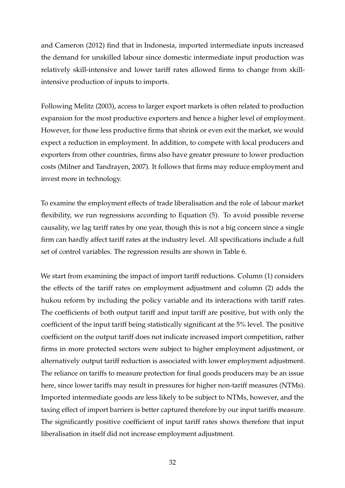and Cameron (2012) find that in Indonesia, imported intermediate inputs increased the demand for unskilled labour since domestic intermediate input production was relatively skill-intensive and lower tariff rates allowed firms to change from skillintensive production of inputs to imports.

Following Melitz (2003), access to larger export markets is often related to production expansion for the most productive exporters and hence a higher level of employment. However, for those less productive firms that shrink or even exit the market, we would expect a reduction in employment. In addition, to compete with local producers and exporters from other countries, firms also have greater pressure to lower production costs (Milner and Tandrayen, 2007). It follows that firms may reduce employment and invest more in technology.

To examine the employment effects of trade liberalisation and the role of labour market flexibility, we run regressions according to Equation (5). To avoid possible reverse causality, we lag tariff rates by one year, though this is not a big concern since a single firm can hardly affect tariff rates at the industry level. All specifications include a full set of control variables. The regression results are shown in Table 6.

We start from examining the impact of import tariff reductions. Column (1) considers the effects of the tariff rates on employment adjustment and column (2) adds the hukou reform by including the policy variable and its interactions with tariff rates. The coefficients of both output tariff and input tariff are positive, but with only the coefficient of the input tariff being statistically significant at the 5% level. The positive coefficient on the output tariff does not indicate increased import competition, rather firms in more protected sectors were subject to higher employment adjustment, or alternatively output tariff reduction is associated with lower employment adjustment. The reliance on tariffs to measure protection for final goods producers may be an issue here, since lower tariffs may result in pressures for higher non-tariff measures (NTMs). Imported intermediate goods are less likely to be subject to NTMs, however, and the taxing effect of import barriers is better captured therefore by our input tariffs measure. The significantly positive coefficient of input tariff rates shows therefore that input liberalisation in itself did not increase employment adjustment.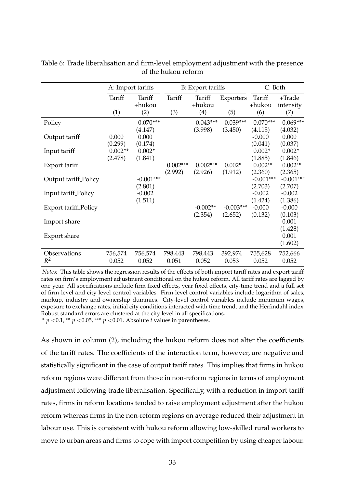|                             | A: Import tariffs |                  |            | B: Export tariffs |             | C: Both          |                        |
|-----------------------------|-------------------|------------------|------------|-------------------|-------------|------------------|------------------------|
|                             | Tariff            | Tariff<br>+hukou | Tariff     | Tariff<br>+hukou  | Exporters   | Tariff<br>+hukou | $+ Trade$<br>intensity |
|                             | (1)               | (2)              | (3)        | (4)               | (5)         | (6)              | (7)                    |
| Policy                      |                   | $0.070***$       |            | $0.043***$        | $0.039***$  | $0.070***$       | $0.069***$             |
|                             |                   | (4.147)          |            | (3.998)           | (3.450)     | (4.115)          | (4.032)                |
| Output tariff               | 0.000             | 0.000            |            |                   |             | $-0.000$         | 0.000                  |
|                             | (0.299)           | (0.174)          |            |                   |             | (0.041)          | (0.037)                |
| Input tariff                | $0.002**$         | $0.002*$         |            |                   |             | $0.002*$         | $0.002*$               |
|                             | (2.478)           | (1.841)          |            |                   |             | (1.885)          | (1.846)                |
| Export tariff               |                   |                  | $0.002***$ | $0.002***$        | $0.002*$    | $0.002**$        | $0.002**$              |
|                             |                   |                  | (2.992)    | (2.926)           | (1.912)     | (2.360)          | (2.365)                |
| Output tariff Policy        |                   | $-0.001***$      |            |                   |             | $-0.001***$      | $-0.001***$            |
|                             |                   | (2.801)          |            |                   |             | (2.703)          | (2.707)                |
| Input tariff Policy         |                   | $-0.002$         |            |                   |             | $-0.002$         | $-0.002$               |
|                             |                   | (1.511)          |            |                   |             | (1.424)          | (1.386)                |
| <b>Export tariff Policy</b> |                   |                  |            | $-0.002**$        | $-0.003***$ | $-0.000$         | $-0.000$               |
|                             |                   |                  |            | (2.354)           | (2.652)     | (0.132)          | (0.103)                |
| Import share                |                   |                  |            |                   |             |                  | 0.001                  |
|                             |                   |                  |            |                   |             |                  | (1.428)                |
| Export share                |                   |                  |            |                   |             |                  | 0.001                  |
|                             |                   |                  |            |                   |             |                  | (1.602)                |
| Observations                | 756,574           | 756,574          | 798,443    | 798,443           | 392,974     | 755,628          | 752,666                |
| $R^2$                       | 0.052             | 0.052            | 0.051      | 0.052             | 0.053       | 0.052            | 0.052                  |

Table 6: Trade liberalisation and firm-level employment adjustment with the presence of the hukou reform

*Notes:* This table shows the regression results of the effects of both import tariff rates and export tariff rates on firm's employment adjustment conditional on the hukou reform. All tariff rates are lagged by one year. All specifications include firm fixed effects, year fixed effects, city-time trend and a full set of firm-level and city-level control variables. Firm-level control variables include logarithm of sales, markup, industry and ownership dummies. City-level control variables include minimum wages, exposure to exchange rates, initial city conditions interacted with time trend, and the Herfindahl index. Robust standard errors are clustered at the city level in all specifications. \*  $p$  <0.1, \*\*  $p$  <0.05, \*\*\*  $p$  <0.01. Absolute  $t$  values in parentheses.

As shown in column (2), including the hukou reform does not alter the coefficients of the tariff rates. The coefficients of the interaction term, however, are negative and statistically significant in the case of output tariff rates. This implies that firms in hukou reform regions were different from those in non-reform regions in terms of employment adjustment following trade liberalisation. Specifically, with a reduction in import tariff rates, firms in reform locations tended to raise employment adjustment after the hukou reform whereas firms in the non-reform regions on average reduced their adjustment in labour use. This is consistent with hukou reform allowing low-skilled rural workers to move to urban areas and firms to cope with import competition by using cheaper labour.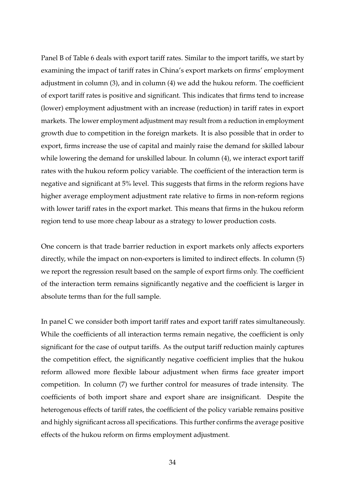Panel B of Table 6 deals with export tariff rates. Similar to the import tariffs, we start by examining the impact of tariff rates in China's export markets on firms' employment adjustment in column (3), and in column (4) we add the hukou reform. The coefficient of export tariff rates is positive and significant. This indicates that firms tend to increase (lower) employment adjustment with an increase (reduction) in tariff rates in export markets. The lower employment adjustment may result from a reduction in employment growth due to competition in the foreign markets. It is also possible that in order to export, firms increase the use of capital and mainly raise the demand for skilled labour while lowering the demand for unskilled labour. In column (4), we interact export tariff rates with the hukou reform policy variable. The coefficient of the interaction term is negative and significant at 5% level. This suggests that firms in the reform regions have higher average employment adjustment rate relative to firms in non-reform regions with lower tariff rates in the export market. This means that firms in the hukou reform region tend to use more cheap labour as a strategy to lower production costs.

One concern is that trade barrier reduction in export markets only affects exporters directly, while the impact on non-exporters is limited to indirect effects. In column (5) we report the regression result based on the sample of export firms only. The coefficient of the interaction term remains significantly negative and the coefficient is larger in absolute terms than for the full sample.

In panel C we consider both import tariff rates and export tariff rates simultaneously. While the coefficients of all interaction terms remain negative, the coefficient is only significant for the case of output tariffs. As the output tariff reduction mainly captures the competition effect, the significantly negative coefficient implies that the hukou reform allowed more flexible labour adjustment when firms face greater import competition. In column (7) we further control for measures of trade intensity. The coefficients of both import share and export share are insignificant. Despite the heterogenous effects of tariff rates, the coefficient of the policy variable remains positive and highly significant across all specifications. This further confirms the average positive effects of the hukou reform on firms employment adjustment.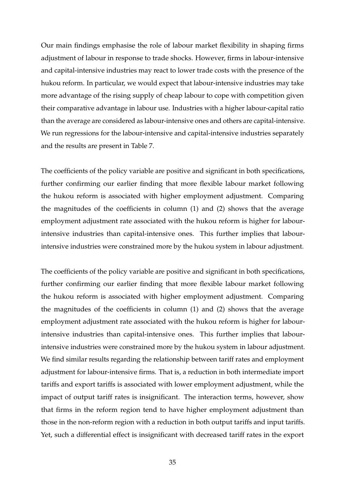Our main findings emphasise the role of labour market flexibility in shaping firms adjustment of labour in response to trade shocks. However, firms in labour-intensive and capital-intensive industries may react to lower trade costs with the presence of the hukou reform. In particular, we would expect that labour-intensive industries may take more advantage of the rising supply of cheap labour to cope with competition given their comparative advantage in labour use. Industries with a higher labour-capital ratio than the average are considered as labour-intensive ones and others are capital-intensive. We run regressions for the labour-intensive and capital-intensive industries separately and the results are present in Table 7.

The coefficients of the policy variable are positive and significant in both specifications, further confirming our earlier finding that more flexible labour market following the hukou reform is associated with higher employment adjustment. Comparing the magnitudes of the coefficients in column (1) and (2) shows that the average employment adjustment rate associated with the hukou reform is higher for labourintensive industries than capital-intensive ones. This further implies that labourintensive industries were constrained more by the hukou system in labour adjustment.

The coefficients of the policy variable are positive and significant in both specifications, further confirming our earlier finding that more flexible labour market following the hukou reform is associated with higher employment adjustment. Comparing the magnitudes of the coefficients in column (1) and (2) shows that the average employment adjustment rate associated with the hukou reform is higher for labourintensive industries than capital-intensive ones. This further implies that labourintensive industries were constrained more by the hukou system in labour adjustment. We find similar results regarding the relationship between tariff rates and employment adjustment for labour-intensive firms. That is, a reduction in both intermediate import tariffs and export tariffs is associated with lower employment adjustment, while the impact of output tariff rates is insignificant. The interaction terms, however, show that firms in the reform region tend to have higher employment adjustment than those in the non-reform region with a reduction in both output tariffs and input tariffs. Yet, such a differential effect is insignificant with decreased tariff rates in the export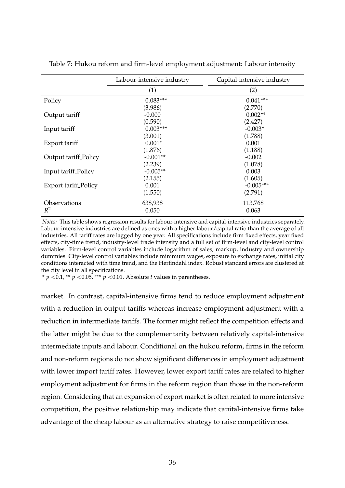|                             | Labour-intensive industry | Capital-intensive industry |
|-----------------------------|---------------------------|----------------------------|
|                             | (1)                       | (2)                        |
| Policy                      | $0.083***$                | $0.041***$                 |
|                             | (3.986)                   | (2.770)                    |
| Output tariff               | $-0.000$                  | $0.002**$                  |
|                             | (0.590)                   | (2.427)                    |
| Input tariff                | $0.003***$                | $-0.003*$                  |
|                             | (3.001)                   | (1.788)                    |
| Export tariff               | $0.001*$                  | 0.001                      |
|                             | (1.876)                   | (1.188)                    |
| Output tariff Policy        | $-0.001**$                | $-0.002$                   |
|                             | (2.239)                   | (1.078)                    |
| Input tariff Policy         | $-0.005**$                | 0.003                      |
|                             | (2.155)                   | (1.605)                    |
| <b>Export tariff Policy</b> | 0.001                     | $-0.005***$                |
|                             | (1.550)                   | (2.791)                    |
| Observations                | 638,938                   | 113,768                    |
| $R^2$                       | 0.050                     | 0.063                      |

Table 7: Hukou reform and firm-level employment adjustment: Labour intensity

*Notes:* This table shows regression results for labour-intensive and capital-intensive industries separately. Labour-intensive industries are defined as ones with a higher labour/capital ratio than the average of all industries. All tariff rates are lagged by one year. All specifications include firm fixed effects, year fixed effects, city-time trend, industry-level trade intensity and a full set of firm-level and city-level control variables. Firm-level control variables include logarithm of sales, markup, industry and ownership dummies. City-level control variables include minimum wages, exposure to exchange rates, initial city conditions interacted with time trend, and the Herfindahl index. Robust standard errors are clustered at the city level in all specifications.

\* *p* < 0.1, \*\* *p* < 0.05, \*\*\* *p* < 0.01. Absolute *t* values in parentheses.

market. In contrast, capital-intensive firms tend to reduce employment adjustment with a reduction in output tariffs whereas increase employment adjustment with a reduction in intermediate tariffs. The former might reflect the competition effects and the latter might be due to the complementarity between relatively capital-intensive intermediate inputs and labour. Conditional on the hukou reform, firms in the reform and non-reform regions do not show significant differences in employment adjustment with lower import tariff rates. However, lower export tariff rates are related to higher employment adjustment for firms in the reform region than those in the non-reform region. Considering that an expansion of export market is often related to more intensive competition, the positive relationship may indicate that capital-intensive firms take advantage of the cheap labour as an alternative strategy to raise competitiveness.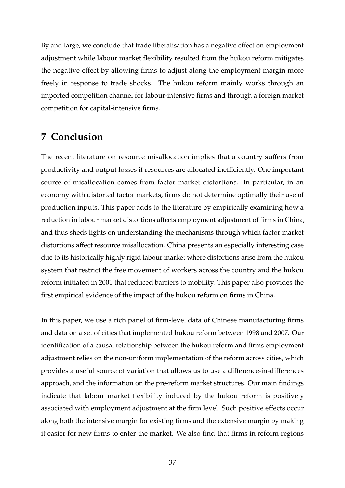By and large, we conclude that trade liberalisation has a negative effect on employment adjustment while labour market flexibility resulted from the hukou reform mitigates the negative effect by allowing firms to adjust along the employment margin more freely in response to trade shocks. The hukou reform mainly works through an imported competition channel for labour-intensive firms and through a foreign market competition for capital-intensive firms.

## **7 Conclusion**

The recent literature on resource misallocation implies that a country suffers from productivity and output losses if resources are allocated inefficiently. One important source of misallocation comes from factor market distortions. In particular, in an economy with distorted factor markets, firms do not determine optimally their use of production inputs. This paper adds to the literature by empirically examining how a reduction in labour market distortions affects employment adjustment of firms in China, and thus sheds lights on understanding the mechanisms through which factor market distortions affect resource misallocation. China presents an especially interesting case due to its historically highly rigid labour market where distortions arise from the hukou system that restrict the free movement of workers across the country and the hukou reform initiated in 2001 that reduced barriers to mobility. This paper also provides the first empirical evidence of the impact of the hukou reform on firms in China.

In this paper, we use a rich panel of firm-level data of Chinese manufacturing firms and data on a set of cities that implemented hukou reform between 1998 and 2007. Our identification of a causal relationship between the hukou reform and firms employment adjustment relies on the non-uniform implementation of the reform across cities, which provides a useful source of variation that allows us to use a difference-in-differences approach, and the information on the pre-reform market structures. Our main findings indicate that labour market flexibility induced by the hukou reform is positively associated with employment adjustment at the firm level. Such positive effects occur along both the intensive margin for existing firms and the extensive margin by making it easier for new firms to enter the market. We also find that firms in reform regions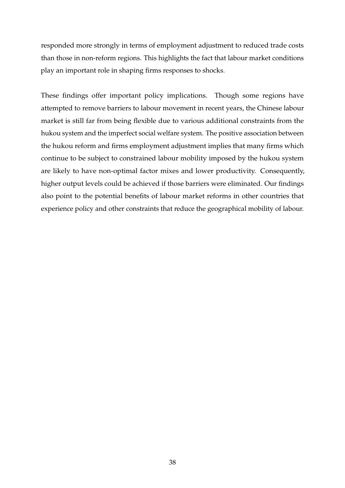responded more strongly in terms of employment adjustment to reduced trade costs than those in non-reform regions. This highlights the fact that labour market conditions play an important role in shaping firms responses to shocks.

These findings offer important policy implications. Though some regions have attempted to remove barriers to labour movement in recent years, the Chinese labour market is still far from being flexible due to various additional constraints from the hukou system and the imperfect social welfare system. The positive association between the hukou reform and firms employment adjustment implies that many firms which continue to be subject to constrained labour mobility imposed by the hukou system are likely to have non-optimal factor mixes and lower productivity. Consequently, higher output levels could be achieved if those barriers were eliminated. Our findings also point to the potential benefits of labour market reforms in other countries that experience policy and other constraints that reduce the geographical mobility of labour.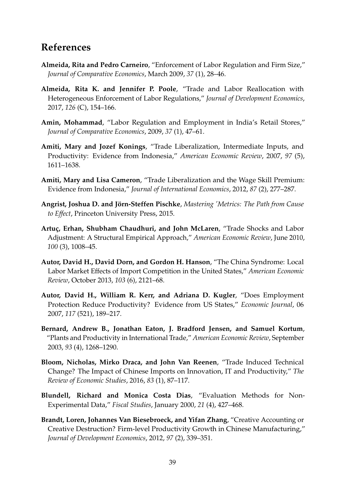# **References**

- **Almeida, Rita and Pedro Carneiro**, "Enforcement of Labor Regulation and Firm Size," *Journal of Comparative Economics*, March 2009, *37* (1), 28–46.
- **Almeida, Rita K. and Jennifer P. Poole**, "Trade and Labor Reallocation with Heterogeneous Enforcement of Labor Regulations," *Journal of Development Economics*, 2017, *126* (C), 154–166.
- **Amin, Mohammad**, "Labor Regulation and Employment in India's Retail Stores," *Journal of Comparative Economics*, 2009, *37* (1), 47–61.
- **Amiti, Mary and Jozef Konings**, "Trade Liberalization, Intermediate Inputs, and Productivity: Evidence from Indonesia," *American Economic Review*, 2007, *97* (5), 1611–1638.
- **Amiti, Mary and Lisa Cameron**, "Trade Liberalization and the Wage Skill Premium: Evidence from Indonesia," *Journal of International Economics*, 2012, *87* (2), 277–287.
- Angrist, Joshua D. and Jörn-Steffen Pischke, *Mastering 'Metrics: The Path from Cause to Effect*, Princeton University Press, 2015.
- Artuç, Erhan, Shubham Chaudhuri, and John McLaren, "Trade Shocks and Labor Adjustment: A Structural Empirical Approach," *American Economic Review*, June 2010, *100* (3), 1008–45.
- **Autor, David H., David Dorn, and Gordon H. Hanson**, "The China Syndrome: Local Labor Market Effects of Import Competition in the United States," *American Economic Review*, October 2013, *103* (6), 2121–68.
- **Autor, David H., William R. Kerr, and Adriana D. Kugler**, "Does Employment Protection Reduce Productivity? Evidence from US States," *Economic Journal*, 06 2007, *117* (521), 189–217.
- **Bernard, Andrew B., Jonathan Eaton, J. Bradford Jensen, and Samuel Kortum**, "Plants and Productivity in International Trade," *American Economic Review*, September 2003, *93* (4), 1268–1290.
- **Bloom, Nicholas, Mirko Draca, and John Van Reenen**, "Trade Induced Technical Change? The Impact of Chinese Imports on Innovation, IT and Productivity," *The Review of Economic Studies*, 2016, *83* (1), 87–117.
- **Blundell, Richard and Monica Costa Dias**, "Evaluation Methods for Non-Experimental Data," *Fiscal Studies*, January 2000, *21* (4), 427–468.
- **Brandt, Loren, Johannes Van Biesebroeck, and Yifan Zhang**, "Creative Accounting or Creative Destruction? Firm-level Productivity Growth in Chinese Manufacturing," *Journal of Development Economics*, 2012, *97* (2), 339–351.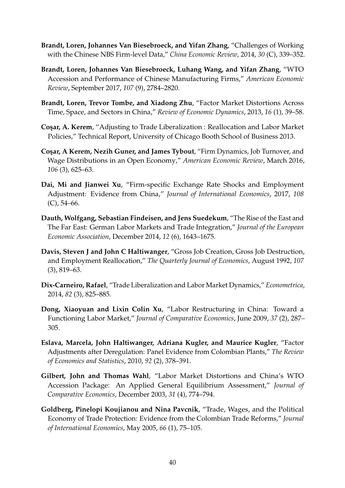- **Brandt, Loren, Johannes Van Biesebroeck, and Yifan Zhang**, "Challenges of Working with the Chinese NBS Firm-level Data," *China Economic Review*, 2014, *30* (C), 339–352.
- **Brandt, Loren, Johannes Van Biesebroeck, Luhang Wang, and Yifan Zhang**, "WTO Accession and Performance of Chinese Manufacturing Firms," *American Economic Review*, September 2017, *107* (9), 2784–2820.
- **Brandt, Loren, Trevor Tombe, and Xiadong Zhu**, "Factor Market Distortions Across Time, Space, and Sectors in China," *Review of Economic Dynamics*, 2013, *16* (1), 39–58.
- **Co¸sar, A. Kerem**, "Adjusting to Trade Liberalization : Reallocation and Labor Market Policies," Technical Report, University of Chicago Booth School of Business 2013.
- **Co¸sar, A Kerem, Nezih Guner, and James Tybout**, "Firm Dynamics, Job Turnover, and Wage Distributions in an Open Economy," *American Economic Review*, March 2016, *106* (3), 625–63.
- **Dai, Mi and Jianwei Xu**, "Firm-specific Exchange Rate Shocks and Employment Adjustment: Evidence from China," *Journal of International Economics*, 2017, *108*  $(C)$ , 54–66.
- **Dauth, Wolfgang, Sebastian Findeisen, and Jens Suedekum**, "The Rise of the East and The Far East: German Labor Markets and Trade Integration," *Journal of the European Economic Association*, December 2014, *12* (6), 1643–1675.
- **Davis, Steven J and John C Haltiwanger**, "Gross Job Creation, Gross Job Destruction, and Employment Reallocation," *The Quarterly Journal of Economics*, August 1992, *107* (3), 819–63.
- **Dix-Carneiro, Rafael**, "Trade Liberalization and Labor Market Dynamics," *Econometrica*, 2014, *82* (3), 825–885.
- **Dong, Xiaoyuan and Lixin Colin Xu**, "Labor Restructuring in China: Toward a Functioning Labor Market," *Journal of Comparative Economics*, June 2009, *37* (2), 287– 305.
- **Eslava, Marcela, John Haltiwanger, Adriana Kugler, and Maurice Kugler**, "Factor Adjustments after Deregulation: Panel Evidence from Colombian Plants," *The Review of Economics and Statistics*, 2010, *92* (2), 378–391.
- **Gilbert, John and Thomas Wahl**, "Labor Market Distortions and China's WTO Accession Package: An Applied General Equilibrium Assessment," *Journal of Comparative Economics*, December 2003, *31* (4), 774–794.
- **Goldberg, Pinelopi Koujianou and Nina Pavcnik**, "Trade, Wages, and the Political Economy of Trade Protection: Evidence from the Colombian Trade Reforms," *Journal of International Economics*, May 2005, *66* (1), 75–105.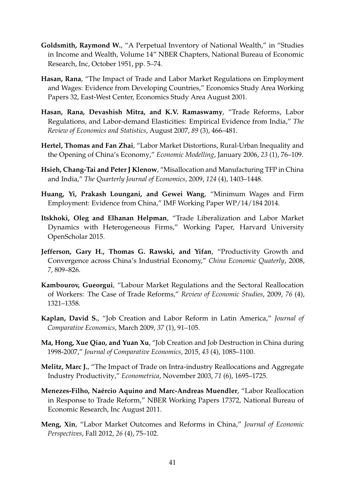- **Goldsmith, Raymond W.**, "A Perpetual Inventory of National Wealth," in "Studies in Income and Wealth, Volume 14" NBER Chapters, National Bureau of Economic Research, Inc, October 1951, pp. 5–74.
- **Hasan, Rana**, "The Impact of Trade and Labor Market Regulations on Employment and Wages: Evidence from Developing Countries," Economics Study Area Working Papers 32, East-West Center, Economics Study Area August 2001.
- **Hasan, Rana, Devashish Mitra, and K.V. Ramaswamy**, "Trade Reforms, Labor Regulations, and Labor-demand Elasticities: Empirical Evidence from India," *The Review of Economics and Statistics*, August 2007, *89* (3), 466–481.
- **Hertel, Thomas and Fan Zhai**, "Labor Market Distortions, Rural-Urban Inequality and the Opening of China's Economy," *Economic Modelling*, January 2006, *23* (1), 76–109.
- **Hsieh, Chang-Tai and Peter J Klenow**, "Misallocation and Manufacturing TFP in China and India," *The Quarterly Journal of Economics*, 2009, *124* (4), 1403–1448.
- **Huang, Yi, Prakash Loungani, and Gewei Wang**, "Minimum Wages and Firm Employment: Evidence from China," IMF Working Paper WP/14/184 2014.
- **Itskhoki, Oleg and Elhanan Helpman**, "Trade Liberalization and Labor Market Dynamics with Heterogeneous Firms," Working Paper, Harvard University OpenScholar 2015.
- **Jefferson, Gary H., Thomas G. Rawski, and Yifan**, "Productivity Growth and Convergence across China's Industrial Economy," *China Economic Quaterly*, 2008, *7*, 809–826.
- **Kambourov, Gueorgui**, "Labour Market Regulations and the Sectoral Reallocation of Workers: The Case of Trade Reforms," *Review of Economic Studies*, 2009, *76* (4), 1321–1358.
- **Kaplan, David S.**, "Job Creation and Labor Reform in Latin America," *Journal of Comparative Economics*, March 2009, *37* (1), 91–105.
- **Ma, Hong, Xue Qiao, and Yuan Xu**, "Job Creation and Job Destruction in China during 1998-2007," *Journal of Comparative Economics*, 2015, *43* (4), 1085–1100.
- **Melitz, Marc J.**, "The Impact of Trade on Intra-industry Reallocations and Aggregate Industry Productivity," *Econometrica*, November 2003, *71* (6), 1695–1725.
- **Menezes-Filho, Na´ercio Aquino and Marc-Andreas Muendler**, "Labor Reallocation in Response to Trade Reform," NBER Working Papers 17372, National Bureau of Economic Research, Inc August 2011.
- **Meng, Xin**, "Labor Market Outcomes and Reforms in China," *Journal of Economic Perspectives*, Fall 2012, *26* (4), 75–102.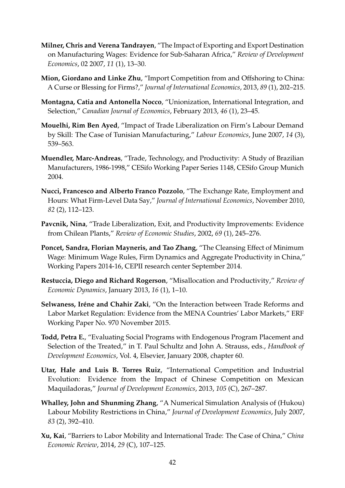- **Milner, Chris and Verena Tandrayen**, "The Impact of Exporting and Export Destination on Manufacturing Wages: Evidence for Sub-Saharan Africa," *Review of Development Economics*, 02 2007, *11* (1), 13–30.
- **Mion, Giordano and Linke Zhu**, "Import Competition from and Offshoring to China: A Curse or Blessing for Firms?," *Journal of International Economics*, 2013, *89* (1), 202–215.
- **Montagna, Catia and Antonella Nocco**, "Unionization, International Integration, and Selection," *Canadian Journal of Economics*, February 2013, *46* (1), 23–45.
- **Mouelhi, Rim Ben Ayed**, "Impact of Trade Liberalization on Firm's Labour Demand by Skill: The Case of Tunisian Manufacturing," *Labour Economics*, June 2007, *14* (3), 539–563.
- **Muendler, Marc-Andreas**, "Trade, Technology, and Productivity: A Study of Brazilian Manufacturers, 1986-1998," CESifo Working Paper Series 1148, CESifo Group Munich 2004.
- **Nucci, Francesco and Alberto Franco Pozzolo**, "The Exchange Rate, Employment and Hours: What Firm-Level Data Say," *Journal of International Economics*, November 2010, *82* (2), 112–123.
- **Pavcnik, Nina**, "Trade Liberalization, Exit, and Productivity Improvements: Evidence from Chilean Plants," *Review of Economic Studies*, 2002, *69* (1), 245–276.
- **Poncet, Sandra, Florian Mayneris, and Tao Zhang**, "The Cleansing Effect of Minimum Wage: Minimum Wage Rules, Firm Dynamics and Aggregate Productivity in China," Working Papers 2014-16, CEPII research center September 2014.
- **Restuccia, Diego and Richard Rogerson**, "Misallocation and Productivity," *Review of Economic Dynamics*, January 2013, *16* (1), 1–10.
- **Selwaness, Iréne and Chahir Zaki**, "On the Interaction between Trade Reforms and Labor Market Regulation: Evidence from the MENA Countries' Labor Markets," ERF Working Paper No. 970 November 2015.
- **Todd, Petra E.**, "Evaluating Social Programs with Endogenous Program Placement and Selection of the Treated," in T. Paul Schultz and John A. Strauss, eds., *Handbook of Development Economics*, Vol. 4, Elsevier, January 2008, chapter 60.
- **Utar, Hale and Luis B. Torres Ruiz**, "International Competition and Industrial Evolution: Evidence from the Impact of Chinese Competition on Mexican Maquiladoras," *Journal of Development Economics*, 2013, *105* (C), 267–287.
- **Whalley, John and Shunming Zhang**, "A Numerical Simulation Analysis of (Hukou) Labour Mobility Restrictions in China," *Journal of Development Economics*, July 2007, *83* (2), 392–410.
- **Xu, Kai**, "Barriers to Labor Mobility and International Trade: The Case of China," *China Economic Review*, 2014, *29* (C), 107–125.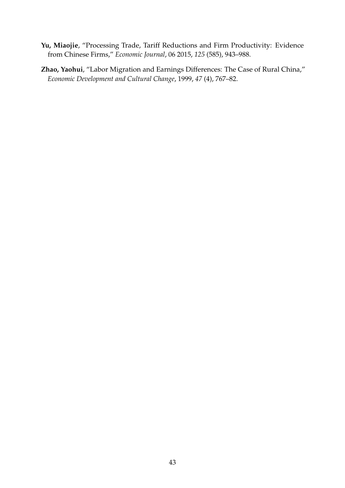- **Yu, Miaojie**, "Processing Trade, Tariff Reductions and Firm Productivity: Evidence from Chinese Firms," *Economic Journal*, 06 2015, *125* (585), 943–988.
- **Zhao, Yaohui**, "Labor Migration and Earnings Differences: The Case of Rural China," *Economic Development and Cultural Change*, 1999, *47* (4), 767–82.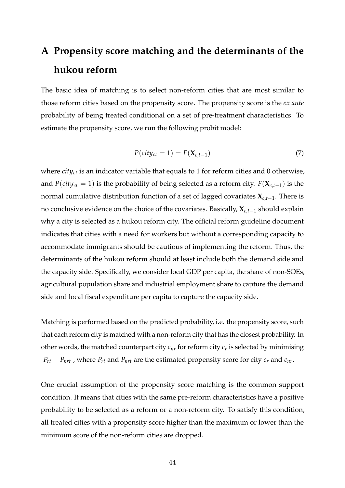# **A Propensity score matching and the determinants of the hukou reform**

The basic idea of matching is to select non-reform cities that are most similar to those reform cities based on the propensity score. The propensity score is the *ex ante* probability of being treated conditional on a set of pre-treatment characteristics. To estimate the propensity score, we run the following probit model:

$$
P(city_{ct} = 1) = F(\mathbf{X}_{c,t-1})
$$
\n<sup>(7)</sup>

where *cityct* is an indicator variable that equals to 1 for reform cities and 0 otherwise, and *P*(*city*<sub>*ct*</sub> = 1) is the probability of being selected as a reform city. *F*( $\mathbf{X}_{c,t-1}$ ) is the normal cumulative distribution function of a set of lagged covariates **X***c*,*t*−1. There is no conclusive evidence on the choice of the covariates. Basically, **X***c*,*t*−<sup>1</sup> should explain why a city is selected as a hukou reform city. The official reform guideline document indicates that cities with a need for workers but without a corresponding capacity to accommodate immigrants should be cautious of implementing the reform. Thus, the determinants of the hukou reform should at least include both the demand side and the capacity side. Specifically, we consider local GDP per capita, the share of non-SOEs, agricultural population share and industrial employment share to capture the demand side and local fiscal expenditure per capita to capture the capacity side.

Matching is performed based on the predicted probability, i.e. the propensity score, such that each reform city is matched with a non-reform city that has the closest probability. In other words, the matched counterpart city *cnr* for reform city *c<sup>r</sup>* is selected by minimising  $|P_{rt} - P_{nrt}|$ , where  $P_{rt}$  and  $P_{nrt}$  are the estimated propensity score for city  $c_r$  and  $c_{nr}$ .

One crucial assumption of the propensity score matching is the common support condition. It means that cities with the same pre-reform characteristics have a positive probability to be selected as a reform or a non-reform city. To satisfy this condition, all treated cities with a propensity score higher than the maximum or lower than the minimum score of the non-reform cities are dropped.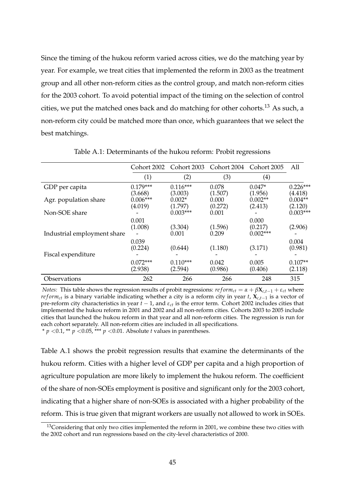Since the timing of the hukou reform varied across cities, we do the matching year by year. For example, we treat cities that implemented the reform in 2003 as the treatment group and all other non-reform cities as the control group, and match non-reform cities for the 2003 cohort. To avoid potential impact of the timing on the selection of control cities, we put the matched ones back and do matching for other cohorts.<sup>13</sup> As such, a non-reform city could be matched more than once, which guarantees that we select the best matchings.

|                             | Cohort 2002                      | Cohort 2003                    | Cohort 2004                 | Cohort 2005                     | All                             |
|-----------------------------|----------------------------------|--------------------------------|-----------------------------|---------------------------------|---------------------------------|
|                             | (1)                              | (2)                            | (3)                         | (4)                             |                                 |
| GDP per capita              | $0.179***$                       | $0.116***$                     | 0.078                       | $0.047*$                        | $0.226***$                      |
| Agr. population share       | (3.668)<br>$0.006***$<br>(4.019) | (3.003)<br>$0.002*$<br>(1.797) | (1.507)<br>0.000<br>(0.272) | (1.956)<br>$0.002**$<br>(2.413) | (4.418)<br>$0.004**$<br>(2.120) |
| Non-SOE share               |                                  | $0.003***$                     | 0.001                       |                                 | $0.003***$                      |
| Industrial employment share | 0.001<br>(1.008)                 | (3.304)<br>0.001               | (1.596)<br>0.209            | 0.000<br>(0.217)<br>$0.002***$  | (2.906)                         |
| Fiscal expenditure          | 0.039<br>(0.224)                 | (0.644)                        | (1.180)                     | (3.171)                         | 0.004<br>(0.981)                |
|                             | $0.072***$<br>(2.938)            | $0.110***$<br>(2.594)          | 0.042<br>(0.986)            | 0.005<br>(0.406)                | $0.107**$<br>(2.118)            |
| Observations                | 262                              | 266                            | 266                         | 248                             | 315                             |

Table A.1: Determinants of the hukou reform: Probit regressions

*Notes:* This table shows the regression results of probit regressions:  $reform_{ct} = \alpha + \beta X_{c,t-1} + \varepsilon_{ct}$  where *reform<sub>ct</sub>* is a binary variable indicating whether a city is a reform city in year *t*,  $X_{c,t-1}$  is a vector of pre-reform city characteristics in year *t* − 1, and *εct* is the error term. Cohort 2002 includes cities that implemented the hukou reform in 2001 and 2002 and all non-reform cities. Cohorts 2003 to 2005 include cities that launched the hukou reform in that year and all non-reform cities. The regression is run for each cohort separately. All non-reform cities are included in all specifications. \*  $p$  <0.1, \*\*  $p$  <0.05, \*\*\*  $p$  <0.01. Absolute  $t$  values in parentheses.

Table A.1 shows the probit regression results that examine the determinants of the hukou reform. Cities with a higher level of GDP per capita and a high proportion of agriculture population are more likely to implement the hukou reform. The coefficient of the share of non-SOEs employment is positive and significant only for the 2003 cohort, indicating that a higher share of non-SOEs is associated with a higher probability of the reform. This is true given that migrant workers are usually not allowed to work in SOEs.

<sup>&</sup>lt;sup>13</sup>Considering that only two cities implemented the reform in 2001, we combine these two cities with the 2002 cohort and run regressions based on the city-level characteristics of 2000.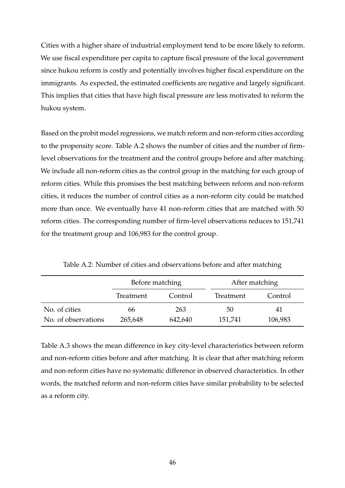Cities with a higher share of industrial employment tend to be more likely to reform. We use fiscal expenditure per capita to capture fiscal pressure of the local government since hukou reform is costly and potentially involves higher fiscal expenditure on the immigrants. As expected, the estimated coefficients are negative and largely significant. This implies that cities that have high fiscal pressure are less motivated to reform the hukou system.

Based on the probit model regressions, we match reform and non-reform cities according to the propensity score. Table A.2 shows the number of cities and the number of firmlevel observations for the treatment and the control groups before and after matching. We include all non-reform cities as the control group in the matching for each group of reform cities. While this promises the best matching between reform and non-reform cities, it reduces the number of control cities as a non-reform city could be matched more than once. We eventually have 41 non-reform cities that are matched with 50 reform cities. The corresponding number of firm-level observations reduces to 151,741 for the treatment group and 106,983 for the control group.

|                     | Before matching |         | After matching |         |
|---------------------|-----------------|---------|----------------|---------|
|                     | Treatment       | Control | Treatment      | Control |
| No. of cities       | 66              | 263     | 50             | 41      |
| No. of observations | 265,648         | 642,640 | 151,741        | 106,983 |

Table A.2: Number of cities and observations before and after matching

Table A.3 shows the mean difference in key city-level characteristics between reform and non-reform cities before and after matching. It is clear that after matching reform and non-reform cities have no systematic difference in observed characteristics. In other words, the matched reform and non-reform cities have similar probability to be selected as a reform city.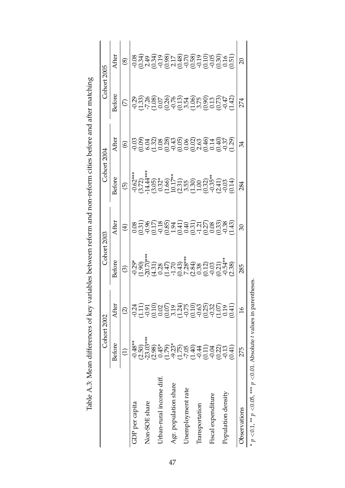|                          | Cohort 2002                           |                                                        | Cohort 2003 |                                                                        | Cohort 2004              |                                                                                                                                                                                                                                  | Cohort 2005                                                |                                                                              |
|--------------------------|---------------------------------------|--------------------------------------------------------|-------------|------------------------------------------------------------------------|--------------------------|----------------------------------------------------------------------------------------------------------------------------------------------------------------------------------------------------------------------------------|------------------------------------------------------------|------------------------------------------------------------------------------|
|                          | <b>Before</b>                         | After                                                  | Before      | After                                                                  | <b>Before</b>            | After                                                                                                                                                                                                                            | Before                                                     | After                                                                        |
|                          | $\ominus$                             | $\widehat{\infty}$                                     | $\odot$     | $\bigoplus$                                                            | $\widehat{\mathfrak{G}}$ | $\circledcirc$                                                                                                                                                                                                                   | $\mathfrak{S}$                                             | $\circledast$                                                                |
| GDP per capita           | $-0.48**$                             | $-0.24$                                                |             |                                                                        |                          |                                                                                                                                                                                                                                  |                                                            |                                                                              |
|                          | $(2.50)$<br>$-23.03***$               |                                                        |             |                                                                        |                          |                                                                                                                                                                                                                                  |                                                            |                                                                              |
| Non-SOE share            |                                       |                                                        |             |                                                                        |                          |                                                                                                                                                                                                                                  |                                                            |                                                                              |
|                          |                                       | นี้รู้อีลิยิลันอีลิยัยยัง<br>นี้รู้อีลิยิลันอีลิยัยยัง |             |                                                                        |                          |                                                                                                                                                                                                                                  |                                                            |                                                                              |
| Jrban-rural income diff. |                                       |                                                        |             |                                                                        |                          |                                                                                                                                                                                                                                  |                                                            |                                                                              |
|                          |                                       |                                                        |             |                                                                        |                          |                                                                                                                                                                                                                                  |                                                            |                                                                              |
| Agr. population share    |                                       |                                                        |             |                                                                        |                          |                                                                                                                                                                                                                                  |                                                            |                                                                              |
|                          |                                       |                                                        |             |                                                                        |                          |                                                                                                                                                                                                                                  |                                                            |                                                                              |
| Jnemployment rate        |                                       |                                                        |             |                                                                        |                          |                                                                                                                                                                                                                                  |                                                            |                                                                              |
|                          |                                       |                                                        |             |                                                                        |                          |                                                                                                                                                                                                                                  |                                                            |                                                                              |
| Transportation           |                                       |                                                        |             |                                                                        |                          |                                                                                                                                                                                                                                  |                                                            |                                                                              |
|                          |                                       |                                                        |             |                                                                        |                          |                                                                                                                                                                                                                                  |                                                            |                                                                              |
| Fiscal expenditure       |                                       |                                                        |             |                                                                        |                          |                                                                                                                                                                                                                                  |                                                            |                                                                              |
|                          | s)<br>8450 069941300<br>8450 06941300 |                                                        |             |                                                                        |                          |                                                                                                                                                                                                                                  |                                                            |                                                                              |
| Population density       |                                       |                                                        |             |                                                                        |                          |                                                                                                                                                                                                                                  |                                                            |                                                                              |
|                          | (141)                                 | (0.41)                                                 |             | edederecedereced<br>2020 - Stadistic Segion<br>2020 - Stadistic Segion |                          | condicion de l'angles de l'angles de l'angles de l'angles de l'angles de l'angles de l'angles de l'angles de l<br>Contre de la propone de la propone de la propone de la propone de la propone de la propone de la propone de la | signed<br>Signed Control Control<br>Signed Control Control | 8 สิงสรรคร สิริสต์อินดี สี<br>8 สิงสรรคร สิริสต์อินดี สี<br>8 สิงสต์อินดี สี |
| <b>Observations</b>      | 275                                   | $\frac{8}{1}$                                          | 285         | R                                                                      | 284                      | 34                                                                                                                                                                                                                               | 274                                                        | $\overline{c}$                                                               |
|                          |                                       |                                                        |             |                                                                        |                          |                                                                                                                                                                                                                                  |                                                            |                                                                              |

Table A.3: Mean differences of key variables between reform and non-reform cities before and after matching Table A.3: Mean differences of key variables between reform and non-reform cities before and after matching

\* *p*

 $\overset{\ast}{\sim}$ 

*p*

 ${<}0.05$ , \*\*\*

*p*

<0.01. Absolute *t* values in parentheses.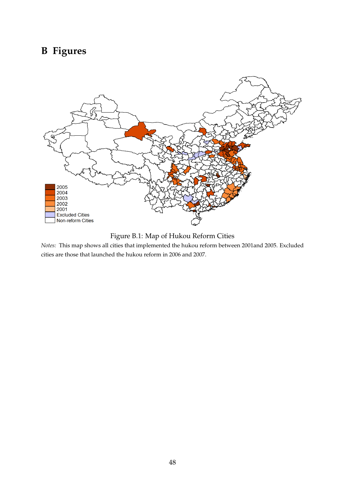# **B Figures**



Figure B.1: Map of Hukou Reform Cities

*Notes:* This map shows all cities that implemented the hukou reform between 2001and 2005. Excluded cities are those that launched the hukou reform in 2006 and 2007.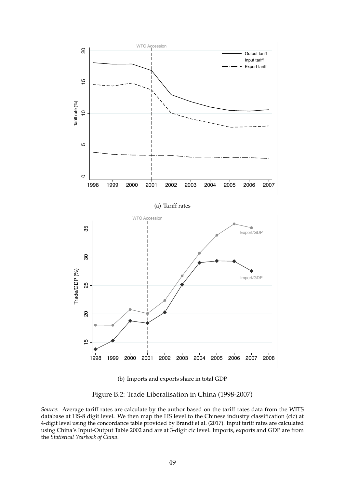

(b) Imports and exports share in total GDP

Figure B.2: Trade Liberalisation in China (1998-2007)

*Source:* Average tariff rates are calculate by the author based on the tariff rates data from the WITS database at HS-8 digit level. We then map the HS level to the Chinese industry classification (cic) at 4-digit level using the concordance table provided by Brandt et al. (2017). Input tariff rates are calculated using China's Input-Output Table 2002 and are at 3-digit cic level. Imports, exports and GDP are from the *Statistical Yearbook of China*.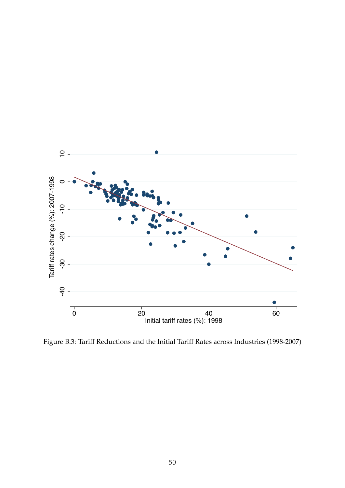

Figure B.3: Tariff Reductions and the Initial Tariff Rates across Industries (1998-2007)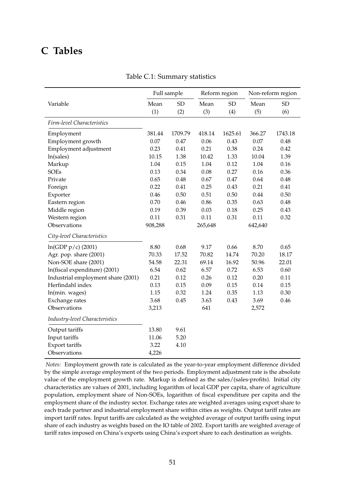# **C Tables**

|                                    | Full sample |           | Reform region |           | Non-reform region |           |
|------------------------------------|-------------|-----------|---------------|-----------|-------------------|-----------|
| Variable                           | Mean<br>(1) | SD<br>(2) | Mean<br>(3)   | SD<br>(4) | Mean<br>(5)       | SD<br>(6) |
| Firm-level Characteristics         |             |           |               |           |                   |           |
| Employment                         | 381.44      | 1709.79   | 418.14        | 1625.61   | 366.27            | 1743.18   |
| Employment growth                  | 0.07        | 0.47      | 0.06          | 0.43      | 0.07              | 0.48      |
| Employment adjustment              | 0.23        | 0.41      | 0.21          | 0.38      | 0.24              | 0.42      |
| ln(sales)                          | 10.15       | 1.38      | 10.42         | 1.33      | 10.04             | 1.39      |
| Markup                             | 1.04        | 0.15      | 1.04          | 0.12      | 1.04              | 0.16      |
| <b>SOEs</b>                        | 0.13        | 0.34      | 0.08          | 0.27      | 0.16              | 0.36      |
| Private                            | 0.65        | 0.48      | 0.67          | 0.47      | 0.64              | 0.48      |
| Foreign                            | 0.22        | 0.41      | 0.25          | 0.43      | 0.21              | 0.41      |
| Exporter                           | 0.46        | 0.50      | 0.51          | 0.50      | 0.44              | 0.50      |
| Eastern region                     | 0.70        | 0.46      | 0.86          | 0.35      | 0.63              | 0.48      |
| Middle region                      | 0.19        | 0.39      | 0.03          | 0.18      | 0.25              | 0.43      |
| Western region                     | 0.11        | 0.31      | 0.11          | 0.31      | 0.11              | 0.32      |
| Observations                       | 908,288     |           | 265,648       |           | 642,640           |           |
| City-level Characteristics         |             |           |               |           |                   |           |
| $ln(GDP p/c)$ (2001)               | 8.80        | 0.68      | 9.17          | 0.66      | 8.70              | 0.65      |
| Agr. pop. share (2001)             | 70.33       | 17.52     | 70.82         | 14.74     | 70.20             | 18.17     |
| Non-SOE share (2001)               | 54.58       | 22.31     | 69.14         | 16.92     | 50.96             | 22.01     |
| ln(fiscal expenditure) (2001)      | 6.54        | 0.62      | 6.57          | 0.72      | 6.53              | 0.60      |
| Industrial employment share (2001) | 0.21        | 0.12      | 0.26          | 0.12      | 0.20              | 0.11      |
| Herfindahl index                   | 0.13        | 0.15      | 0.09          | 0.15      | 0.14              | 0.15      |
| ln(min. wages)                     | 1.15        | 0.32      | 1.24          | 0.35      | 1.13              | 0.30      |
| Exchange rates                     | 3.68        | 0.45      | 3.63          | 0.43      | 3.69              | 0.46      |
| Observations                       | 3,213       |           | 641           |           | 2,572             |           |
| Industry-level Characteristics     |             |           |               |           |                   |           |
| Output tariffs                     | 13.80       | 9.61      |               |           |                   |           |
| Input tariffs                      | 11.06       | 5.20      |               |           |                   |           |
| Export tariffs                     | 3.22        | 4.10      |               |           |                   |           |
| Observations                       | 4,226       |           |               |           |                   |           |

#### Table C.1: Summary statistics

*Notes:* Employment growth rate is calculated as the year-to-year employment difference divided by the simple average employment of the two periods. Employment adjustment rate is the absolute value of the employment growth rate. Markup is defined as the sales/(sales-profits). Initial city characteristics are values of 2001, including logarithm of local GDP per capita, share of agriculture population, employment share of Non-SOEs, logarithm of fiscal expenditure per capita and the employment share of the industry sector. Exchange rates are weighted averages using export share to each trade partner and industrial employment share within cities as weights. Output tariff rates are import tariff rates. Input tariffs are calculated as the weighted average of output tariffs using input share of each industry as weights based on the IO table of 2002. Export tariffs are weighted average of tariff rates imposed on China's exports using China's export share to each destination as weights.